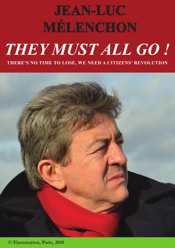# **JEAN-LUC MÉLENCHON**  *THEY MUST ALL GO !* **THERE'S NO TIME TO LOSE, WE NEED A CITIZENS' REVOLUTION**



**© Flammarion, Paris, 2010**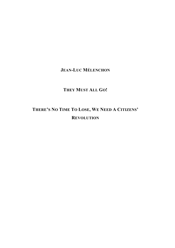### **JEAN-LUC MÉLENCHON**

## **THEY MUST ALL GO!**

# **THERE'S NO TIME TO LOSE, WE NEED A CITIZENS' REVOLUTION**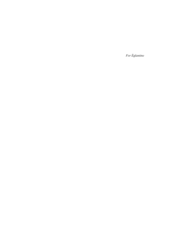*For Églantine*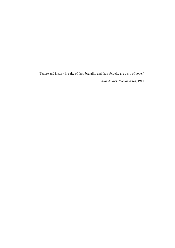"Nature and history in spite of their brutality and their ferocity are a cry of hope."

*Jean Jaurès, Buenos* Aires, 1911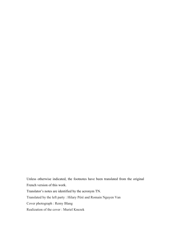Unless otherwise indicated, the footnotes have been translated from the original French version of this work. Translator's notes are identified by the acronym TN. Translated by the left party : Hilary Péré and Romain Nguyen Van Cover photograph : Remy Blang Realization of the cover : Muriel Knezek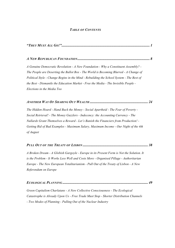#### *TABLE OF CONTENTS*

*"THEY MUST ALL GO!".................................................................................................... 1*

#### *A NEW REPUBLICAN FOUNDATION.................................................................................. 8*

*A Genuine Democratic Revolution - A New Foundation - Why a Constituent Assembly? - The People are Deserting the Ballot Box - The World is Becoming Blurred - A Change of Political Style - Change Begins in the Mind - Rebuilding the School System - The Best of the Best - Dismantle the Education Market - Free the Media - The Invisible People - Elections in the Media Too*

*ANOTHER WAY OF SHARING OUT WEALTH .................................................................. 24*

*The Hidden Hoard - Hand Back the Money - Social Apartheid - The Fear of Poverty - Social Retrieval! - The Money Guzzlers - Indecency: the Accounting Currency - The Nullards Grant Themselves a Reward - Let's Banish the Financiers from Production! - Getting Rid of Bad Examples - Maximum Salary, Maximum Income - Our Night of the 4th of August*

#### *PULL OUT OF THE TREATY OF LISBON .......................................................................... 38*

*A Broken Dream - A Globish Gargoyle - Europe in its Present Form is Not the Solution. It is the Problem - It Works Less Well and Costs More - Organised Pillage - Authoritarian Europe - The New European Totalitarianism - Pull Out of the Treaty of Lisbon - A New Referendum on Europe*

|--|--|

*Green Capitalism Charlatans - A New Collective Consciousness - The Ecological Catastrophe is Already Upon Us - Free Trade Must Stop - Shorter Distribution Channels - Two Modes of Planning - Pulling Out of the Nuclear Industry*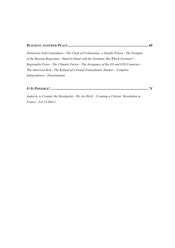#### *BUILDING ANOTHER PEACE........................................................................................... 60*

*Disastrous Self-Centredness - The Clash of Civilisations: a Deadly Poison - The Example of the Russian Bogeyman - Hand in Hand with the Germans. But Which Germans? - Regionalist Fever - The Climatic Factor - The Arrogance of the G8 and G20 Countries - The American Risk - The Refusal of a Grand Transatlantic Market! - Complete Independence - Disarmament*

*IT IS POSSIBLE! .............................................................................................................. 74*

*Audacity to Counter the Straitjacket - We Are Rich! - Creating a Citizens' Revolution in France - Let Us Dare!*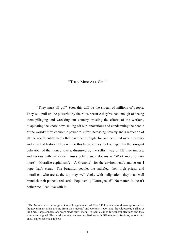#### "THEY Must ALL GO!"

"They must all go!" Soon this will be the slogan of millions of people. They will pull up the powerful by the roots because they've had enough of seeing them pillaging and wrecking our country, wasting the efforts of the workers, dilapidating the know-how, selling off our innovations and condemning the people of the world's fifth economic power to suffer increasing poverty and a reduction of all the social entitlements that have been fought for and acquired over a century and a half of history. They will do this because they feel outraged by the arrogant behaviour of the money lovers, disgusted by the selfish way of life they impose, and furious with the evident ruses behind such slogans as "Work more to earn more"; "Moralise capitalism"; "A Grenelle<sup>1</sup> for the environment"; and so on. I hope that's clear. The beautiful people, the satisfied, their high priests and moralisers who are at the top may well choke with indignation; they may well brandish their pathetic red card: "Populism!", "Outrageous!" No matter. It doesn't bother me. I can live with it.

<sup>&</sup>lt;sup>1</sup> TN: Named after the original Grenelle agreements of May 1968 which were drawn up to resolve the government crisis arising from the students' and workers' revolt and the widespread strikes at the time. Large concessions were made but General De Gaulle called for general elections and they were never signed. The word is now given to consultations with different organisations, unions, etc. on all major societal subjects.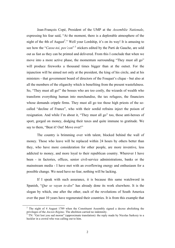Jean-François Copé, President of the UMP at the *Assemblée Nationale*, expressing his fear said, "At the moment, there is a deplorable atmosphere of the night of the 4th of August<sup>2</sup>." Well your Lordship, it's on its way! It is amusing to see how the "*Casse-toi, pov'con*"<sup>3</sup> stickers edited by the Parti de Gauche, are sold out as fast as they can be printed and delivered. From this I conclude that when we move into a more active phase, the momentum surrounding "They must all go" will produce fireworks a thousand times bigger than at the outset. For the injunction will be aimed not only at the president, the king of his circle, and at his ministers - that government board of directors of the Fouquet's clique - but also at all the members of the oligarchy which is benefiting from the present wastefulness. So, "They must all go!" the bosses who are too costly, the wizards of wealth who transform everything human into merchandise, the tax refugees, the financiers whose demands cripple firms. They must all go too those high priests of the socalled "decline of France", who with their sordid refrains inject the poison of resignation. And while I'm about it, "They must all go" too, those anti-heroes of sport, gorged on money, dodging their taxes and quite immune to gratitude. We say to them, "Beat it! Out! Move over!"

The country is brimming over with talent, blocked behind the wall of money. Those who leave will be replaced within 24 hours by others better than they, who have more consideration for other people, are more inventive, less addicted to money, and more loyal to their republican country. Wherever I have been - in factories, offices, senior civil-service administrations, banks or the mainstream media - I have met with an overflowing energy and enthusiasm for a possible change. We need have no fear, nothing will be lacking.

If I speak with such assurance, it is because this same watchword in Spanish, "*Que se vayan to-dos*" has already done its work elsewhere. It is the slogan by which, one after the other, each of the revolutions of South America over the past 10 years have regenerated their countries. It is from this example that

<sup>&</sup>lt;sup>2</sup> The night of 4 August 1789 when the Constituent Assembly signed a decree abolishing the privileges of the *Ancien Régime*. The abolition carried no indemnity.

TN: "Get lost you sad moron" (approximate translation): the reply made by Nicolas Sarkozy to a heckler in a crowd who was calling out to him.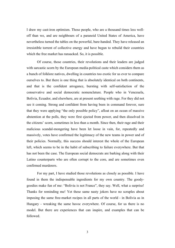I draw my cast-iron optimism. Those people, who are a thousand times less welloff than we, and are neighbours of a paranoid United States of America, have nevertheless turned the tables on the powerful, bare-handed. They have released an irresistible torrent of collective energy and have begun to rebuild their countries which the free market has ransacked. So, it is possible.

Of course, those countries, their revolutions and their leaders are judged with sarcastic scorn by the European media-political caste which considers them as a bunch of folklore natives, dwelling in countries too exotic for us ever to compare ourselves to. But there is one thing that is absolutely identical on both continents, and that is the confident arrogance, bursting with self-satisfaction of the conservative and social democratic nomenclature. People who in Venezuela, Bolivia, Ecuador, and elsewhere, are at present seething with rage. For they did not see it coming. Strong and confident from having been in command forever, sure that they were applying "the only possible policy", afloat on an ocean of massive abstention at the polls, they were first ejected from power, and then dissolved in the citizens' scorn, sometimes in less than a month. Since then, their rage and their malicious scandal-mongering have been let loose in vain, for, repeatedly and massively, votes have confirmed the legitimacy of the new teams in power and of their policies. Normally, this success should interest the whole of the European left, which seems to be in the habit of subscribing to failure everywhere. But that has not been the case. The European social democrats are barking along with their Latino counterparts who are often corrupt to the core, and are sometimes even confirmed murderers.

For my part, I have studied those revolutions as closely as possible. I have found in them the indispensable ingredients for my own country. The goodygoodies make fun of me: "Bolivia is not France", they say. Well, what a surprise! Thanks for reminding me! Yet these same nasty jokers have no scruples about imposing the same free-market recipes in all parts of the world - in Bolivia as in Hungary - wreaking the same havoc everywhere. Of course, for us there is no model. But there are experiences that can inspire, and examples that can be followed.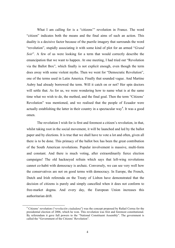What I am calling for is a "citizens'" revolution in France. The word "citizen" indicates both the means and the final aims of such an action. This duality is a decisive factor because of the puerile imagery that surrounds the word "revolution", stupidly associating it with some kind of plot for an armed "*Grand Soir*". A few of us were looking for a term that would correctly describe the emancipation that we want to happen. At one meeting, I had tried out "Revolution via the Ballot Box", which finally is not explicit enough, even though the term does away with some violent myths. Then we went for "Democratic Revolution", one of the terms used in Latin America. Finally that sounded vague. And Martine Aubry had already borrowed the term. Will it catch on or not? Her spin doctors will settle that. As for us, we were wondering how to name what is at the same time what we wish to do, the method, and the final goal. Then the term "Citizens' Revolution" was mentioned, and we realised that the people of Ecuador were actually establishing the latter in their country in a spectacular way<sup>4</sup>. It was a good omen.

The revolution I wish for is first and foremost a citizen's revolution, in that, whilst taking root in the social movement, it will be launched and led by the ballot paper and by elections. It is true that we shall have to vote a lot and often, given all there is to be done. This primacy of the ballot box has been the great contribution of the South American revolutions. Popular involvement is massive, multi-form and constant. And there is much voting, after extraordinarily fierce election campaigns! The old hackneyed refrain which says that left-wing revolutions cannot co-habit with democracy is archaic. Conversely, we can see very well how the conservatives are not on good terms with democracy. In Europe, the French, Dutch and Irish referenda on the Treaty of Lisbon have demonstrated that the decision of citizens is purely and simply cancelled when it does not conform to free-market dogma. And every day, the European Union increases this authoritarian drift.

 <sup>4</sup> Citizens' revolution ("*revolución ciudadana*") was the concept proposed by Rafael Correa for the presidential election of 2006, which he won. This revolution was first and foremost constitutional. By referendum it gave full powers to the "National Constituent Assembly". The government is called the "Government of the Citizens' Revolution".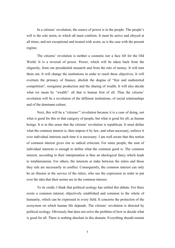In a citizens' revolution, the source of power is in the people. The people's will is the sole norm, to which all must conform. It must be active and obeyed at all times, and not exceptional and treated with scorn, as is the case with the present regime.

The citizens' revolution is neither a cosmetic nor a face lift for the Old World. It is a reversal of power. Power, which will be taken back from the oligarchy, from our presidential monarch and from the rule of money. It will turn them out. It will change the institutions in order to reach these objectives. It will overturn the primacy of finance, abolish the dogma of "free and undistorted competition", reorganise production and the sharing of wealth. It will also decide what we mean by "wealth": all that is human first of all. Thus the citizens' revolution will be a revolution of the different institutions, of social relationships and of the dominant culture.

Next, this will be a "citizens'" revolution because it is a case of doing, not what is good for this or that category of people, but what is good for all, as human beings. It is in this sense that the citizens' revolution is republican. It must define what the common interest is, then impose it by law, and when necessary, enforce it over individual interests each time it is necessary. I am well aware that this notion of common interest gives rise to radical criticism. For some people, the sum of individual interests is enough to define what the common good is. The common interest, according to their interpretation is thus an ideological fancy which leads to totalitarianism. For others, the interests at stake between the rulers and those they rule are necessarily in conflict. Consequently, the common interest can only be an illusion at the service of the rulers, who use the expression in order to put over the idea that their norms are in the common interest.

To its credit, I think that political ecology has settled this debate. For there exists a common interest, objectively established and common to the whole of humanity, which can be expressed in every field. It concerns the protection of the ecosystem on which human life depends. The citizens' revolution is directed by political ecology. Obviously that does not solve the problem of how to decide what is good for all. There is nothing absolute in this domain. Everything should remain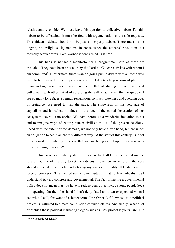relative and reversible. We must leave this question to collective debate. For this debate to be efficacious it must be free, with argumentation as the sole requisite. This citizens' debate should not be just a one-party debate. There must be no dogma, no "religious" injunctions. In consequence the citizens' revolution is a radically secular affair. Fore-warned is fore-armed, is it not?

This book is neither a manifesto nor a programme. Both of these are available. They have been drawn up by the Parti de Gauche activists with whom I am committed<sup>5</sup>. Furthermore, there is an on-going public debate with all those who wish to be involved in the preparation of a Front de Gauche government platform. I am writing these lines to a different end: that of sharing my optimism and enthusiasm with others. And of spreading the will to act rather than to quibble. I see so many long faces, so much resignation, so much bitterness and chewing over of prejudice. We need to turn the page. The shipwreck of this new age of capitalism and its radical blindness in the face of the mortal devastation of our ecosystem leaves us no choice. We have before us a wonderful invitation to act and to imagine ways of getting human civilisation out of the present deadlock. Faced with the extent of the damage, we not only have a free hand, but are under an obligation to act in an entirely different way. At the start of this century, is it not tremendously stimulating to know that we are being called upon to invent new rules for living in society?

This book is voluntarily short. It does not treat all the subjects that matter. It is an outline of the way to set the citizens' movement in action, if the vote should so decide. I am voluntarily taking my wishes for reality. It lends them the force of contagion. This method seems to me quite stimulating. It is radicalism as I understand it: very concrete and governmental. The fact of having a governmental policy does not mean that you have to reduce your objectives, as some people keep on repeating. On the other hand I don't deny that I am often exasperated when I see what I call, for want of a better term, "the Other Left", whose sole political project is restricted to a mere compilation of union claims. And finally, what a lot of rubbish those political marketing slogans such as "My project is yours" are. The

 $5$  www.lepartidegauche.fr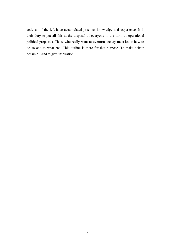activists of the left have accumulated precious knowledge and experience. It is their duty to put all this at the disposal of everyone in the form of operational political proposals. Those who really want to overturn society must know how to do so and to what end. This outline is there for that purpose. To make debate possible. And to give inspiration.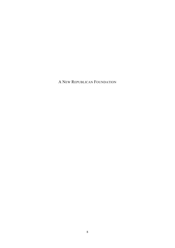A NEW REPUBLICAN FOUNDATION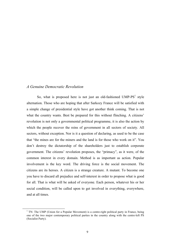#### *A Genuine Democratic Revolution*

So, what is proposed here is not just an old-fashioned  $UMP-PS<sup>1</sup>$  style alternation. Those who are hoping that after Sarkozy France will be satisfied with a simple change of presidential style have got another think coming. That is not what the country wants. Best be prepared for this without flinching. A citizens' revolution is not only a governmental political programme, it is also the action by which the people recover the reins of government in all sectors of society. All sectors, without exception. Nor is it a question of declaring, as used to be the case that "the mines are for the miners and the land is for those who work on it". You don't destroy the dictatorship of the shareholders just to establish corporate government. The citizens' revolution proposes, the "primacy", as it were, of the common interest in every domain. Method is as important as action. Popular involvement is the key word. The driving force is the social movement. The citizens are its heroes. A citizen is a strange creature. A mutant. To become one you have to discard all prejudice and self-interest in order to propose what is good for all. That is what will be asked of everyone. Each person, whatever his or her social condition, will be called upon to get involved in everything, everywhere, and at all times.

<sup>&</sup>lt;sup>1</sup> TN: The UMP (Union for a Popular Movement) is a centre-right political party in France, being one of the two major contemporary political parties in the country along with the centre-left PS (Socialist Party).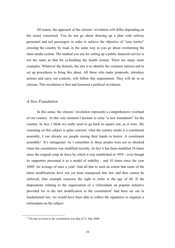Of course, the approach of the citizens' revolution will differ depending on the sector concerned. You do not go about drawing up a plan with railway personnel and rail passengers in order to achieve the objective of "zero lorries" crossing the country by road, in the same way as you go about overturning the mass media system. The method you use for setting up a public financial service is not the same as that for re-building the health system. There are many more examples. Whatever the domain, the aim is to identify the common interest and to set up procedures to bring this about. All those who make proposals, introduce actions and carry out controls, will follow this requirement. They will do so as citizens. This revolution is first and foremost a political revolution.

#### *A New Foundation*

In this sense, the citizens' revolution represents a comprehensive overhaul of our country. At this very moment I hesitate to write "a new foundation" for the country. In fact, I think we really need to go back to square one, as it were. My reasoning on this subject is quite concrete: what the country needs is a constituent assembly. I can already see people raising their hands in horror. A constituent assembly! It's outrageous! As I remember it, those prudes were not so shocked when the constitution was modified recently. In fact it has been modified 24 times since the original coup de force by which it was established in 1958 - even though its supporters presented it as a model of stability - and 10 times since the year 2000! An average of once a year! And all that to such an extent that some of the latest modifications have not yet been transposed into law and thus cannot be enforced. One example concerns the right to retire at the age of 60. If the dispositions relating to the organisation of a referendum on popular initiative provided for in the last modification to the constitution<sup>2</sup> had been set out in fundamental law, we would have been able to collect the signatures to organise a referendum on the subject.

 $2^2$  The last revision to the constitution was that of 21 July 2008.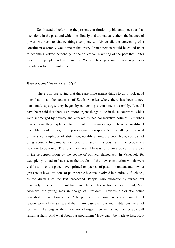So, instead of reforming the present constitution by bits and pieces, as has been done in the past, and which insidiously and dramatically alters the balance of power, we need to change things completely. Above all, the convening of a constituent assembly would mean that every French person would be called upon to become involved personally in the collective re-writing of the pact that unites them as a people and as a nation. We are talking about a new republican foundation for the country itself.

#### *Why a Constituent Assembly?*

There's no use saying that there are more urgent things to do. I took good note that in all the countries of South America where there has been a new democratic upsurge, they began by convening a constituent assembly. It could have been said that there were more urgent things to do in those countries, which were submerged by poverty and wrecked by neo-conservative policies. But, when I was there, they explained to me that it was necessary to have a constituent assembly in order to legitimise power again, in response to the challenge presented by the sheer amplitude of abstention, notably among the poor. Now, you cannot bring about a fundamental democratic change in a country if the people are nowhere to be found. The constituent assembly was for them a powerful exercise in the re-appropriation by the people of political democracy. In Venezuela for example, you had to have seen the articles of the new constitution which were visible all over the place - even printed on packets of pasta - to understand how, at grass roots level, millions of poor people became involved in hundreds of debates, as the drafting of the text proceeded. People who subsequently turned out massively to elect the constituent members. This is how a dear friend, Max Arvelaiz, the young man in charge of President Chavez's diplomatic office described the situation to me: "The poor and the common people thought that leaders were all the same, and that in any case elections and institutions were not for them. As long as they have not changed their minds, our democracy will remain a sham. And what about our programme? How can it be made to last? How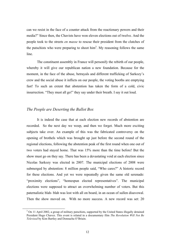can we resist in the face of a counter attack from the reactionary powers and their media?" Since then, the Chavists have won eleven elections out of twelve. And the people took to the streets *en masse* to rescue their president from the clutches of the putschists who were preparing to shoot him<sup>3</sup>. My reasoning follows the same line.

The constituent assembly in France will personify the rebirth of our people, whereby it will give our republican nation a new foundation. Because for the moment, in the face of the abuse, betrayals and different trafficking of Sarkozy's crew and the social abuse it inflicts on our people, the voting booths are emptying fast! To such an extent that abstention has taken the form of a cold, civic insurrection. "They must all go!" they say under their breath. I say it out loud.

#### *The People are Deserting the Ballot Box*

It is indeed the case that at each election new records of abstention are recorded. So the next day we weep, and then we forget. Much more exciting subjects take over. An example of this was the fabricated controversy on the opening of brothels which was brought up just before the second round of the regional elections, following the abstention peak of the first round when one out of two voters had stayed home. That was 15% more than the time before! But the show must go on they say. There has been a devastating void at each election since Nicolas Sarkozy was elected in 2007. The municipal elections of 2008 were submerged by abstention: 8 million people said, "Who cares?" A historic record for these elections. And yet we were repeatedly given the same old serenade: "proximity elections", "homespun elected representatives". The municipal elections were supposed to attract an overwhelming number of voters. But this paternalistic blah- blah was lost with all on board, in an ocean of sullen disavowal. Then the show moved on. With no more success. A new record was set: 20

<sup>&</sup>lt;sup>3</sup> On 11 April 2002, a group of military putschists, supported by the United States illegally detained President Hugo Chavez. This event is related in a documentary film *The Revolution Will Not Be Televised* by Kim Bartley and Donnacha O'Briain.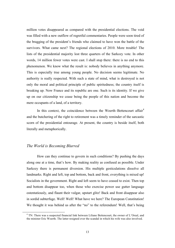million votes disappeared as compared with the presidential elections. The void was filled with a new outflow of regretful commentaries. People were soon tired of the bragging of the president's friends who claimed to have won the battle of the survivors. What came next? The regional elections of 2010. More trouble! The lists of the presidential majority lost three quarters of the Sarkozy vote. In other words, 14 million fewer votes were cast. I shall stop there: there is no end to this phenomenon. We know what the result is: nobody believes in anything anymore. This is especially true among young people. No decision seems legitimate. No authority is really respected. With such a state of mind, what is destroyed is not only the moral and political principle of public spiritedness; the country itself is breaking up. Now France and its republic are one. Such is its identity. If we give up on our citizenship we cease being the people of this nation and become the mere occupants of a land, of a territory.

In this context, the coincidence between the Woerth–Bettencourt  $\operatorname{affair}^4$ and the butchering of the right to retirement was a timely reminder of the sarcastic scorn of the presidential entourage. At present, the country is beside itself, both literally and metaphorically.

#### *The World is Becoming Blurred*

How can they continue to govern in such conditions? By pushing the days along one at a time, that's how. By making reality as confused as possible. Under Sarkozy there is permanent diversion. His multiple gesticulations dissolve all landmarks. Right and left, top and bottom, back and front, everything is mixed up! Socialists in the government. Right and left seem to have ceased to exist. Then top and bottom disappear too, when those who exercise power use gutter language ostentatiously, and flaunt their vulgar, upstart glitz! Back and front disappear also in sordid subterfuge. Well! Well! What have we here? The European Constitution! We thought it was behind us after the "no" to the referendum! Well, that's being

 <sup>4</sup> TN: There was a suspected financial link between Liliane Bettencourt, the owner of L'Oreal, and the minister Eric Woerth. The latter resigned over the scandal in which his wife was also involved.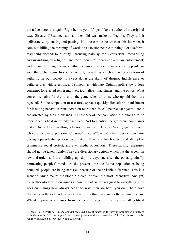too naïve, here it is again. Right before you! It's just like the author of the original text, Giscard d'Estaing, said, all they did was make it illegible. They did it deliberately, by cutting and pasting! No one can do better than this lot when it comes to killing the meaning of words so as to stop people thinking. For "Reform" read being fleeced; for "Equity": arousing jealousy; for "Secularism": recognising and subsidising all religions; and for "Republic": repression and law enforcement; and so on. Nothing means anything anymore, unless it means the opposite or something else again. In such a context, everything which embodies any form of authority in our society is swept down the drain of disgust. Indifference or defiance vies with rejection, and sometimes with hate. Opinion polls show a deep contempt for elected representatives, journalists, magistrates, and the police. What consent remains for the rules of the game when all those who uphold them are rejected? So the temptation to use force spreads quickly. Henceforth, punishment for insulting behaviour rains down on more than 30,000 people each year. People are arrested by their thousands. Almost 5% of the population old enough to be imprisoned is held in custody each year! Not to mention the grotesque complaints that are lodged for "insulting behaviour towards the Head of State", against people who use his own expression "*Casse-toi pov'con*"<sup>5</sup>, as did a facetious demonstrator during a presidential procession. In short, there is a barely-concealed attempt to criminalise social protest, and even media opposition. These harmful measures should not be taken lightly. They are diversionary actions which put the accent on law-and-order, and are building up, day by day, one after the other, gradually permeating peoples' minds. At the present time the Roma population is being hounded, people are being harassed because of their visible difference. This is a scenario which makes the blood run cold, of even the most insensitive. And yet, the well-to-do have their minds at ease, the *blasé* are resigned to everything. Life goes on. Things have always been this way. You are born, you die. There have always been the rich and the poor. There is nothing new under the sun my dear sir. Whilst popular wrath rises from the depths, a gentle purring puts all political

 <sup>5</sup> Hervé Eon, a Parti de Gauche activist received a court sentence for having brandished a placard with the words "*Casse-toi pov'con*" as the presidential car drove by. TN: The phrase may be roughly translated as "Get lost you sad moron".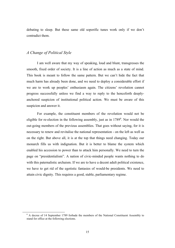debating to sleep. But these same old soporific tunes work only if we don't contradict them.

#### *A Change of Political Style*

I am well aware that my way of speaking, loud and blunt, transgresses the smooth, fixed order of society. It is a line of action as much as a state of mind. This book is meant to follow the same pattern. But we can't hide the fact that much harm has already been done, and we need to deploy a considerable effort if we are to work up peoples' enthusiasm again. The citizens' revolution cannot progress successfully unless we find a way to reply to the henceforth deeplyanchored suspicion of institutional political action. We must be aware of this suspicion and answer it.

For example, the constituent members of the revolution would not be eligible for re-election in the following assembly, just as in  $1789<sup>6</sup>$ . Nor would the out-going members of the previous assemblies. That goes without saying, for it is necessary to renew and revitalise the national representation - on the left as well as on the right. But above all, it is at the top that things need changing. Today our monarch fills us with indignation. But it is better to blame the system which enabled his accession to power than to attack him personally. We need to turn the page on "presidentialism". A nation of civic-minded people wants nothing to do with this paternalistic archaism. If we are to have a decent adult political existence, we have to get rid of the egotistic fantasies of would-be presidents. We need to attain civic dignity. This requires a good, stable, parliamentary regime.

 $6$  A decree of 14 September 1789 forbade the members of the National Constituent Assembly to stand for office at the following elections.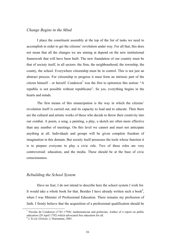#### *Change Begins in the Mind*

I place the constituent assembly at the top of the list of tasks we need to accomplish in order to get the citizens' revolution under way. For all that, this does not mean that all the changes we are aiming at depend on the new institutional framework that will have been built. The new foundation of our country must be that of society itself, in all sectors: the firm, the neighbourhood, the township, the county, the school. Everywhere citizenship must be in control. This is not just an abstract process. For citizenship to progress it must form an intrinsic part of the citizen himself – or herself. Condorcet<sup>7</sup> was the first to epitomize this notion: "A republic is not possible without republicans". So yes, everything begins in the hearts and minds.

The first means of this emancipation is the way in which the citizens' revolution itself is carried out, and its capacity to lead and to educate. Then there are the cultural and artistic works of those who decide to throw their creativity into our combat. A poem, a song, a painting, a play, a sketch are often more effective than any number of meetings. On this level we cannot and must not anticipate anything at all. Individuals and groups will be given complete freedom of imagination in this domain. But society itself possesses the tools whose function it is to prepare everyone to play a civic role. Two of these roles are very controversial: education, and the media. These should be at the base of civic consciousness.

#### *Rebuilding the School System*

Have no fear; I do not intend to describe here the school system I wish for. It would take a whole book for that. Besides I have already written such a book<sup>8</sup>, when I was Minister of Professional Education. There remains my profession of faith. I firmly believe that the acquisition of a professional qualification should be

<sup>&</sup>lt;sup>7</sup> Nicolas de Condorcet (1743–1794): mathematician and politician. Author of a report on public education (20 April 1792) which advocated free education for all.

<sup>8</sup> *L'Ecole Globale*, L'Harmattan, 2001.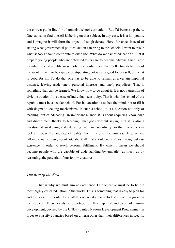the correct guide-line for a humanist school-curriculum. But I'd better stop there. One can soon find oneself jabbering on that subject. In any case, it is a hot potato, and I imagine it will form the object of tough debate. Here, for once, instead of stating what governmental political action can bring to the schools, I want to evoke what schools should contribute to civic life. What do we ask of education? That it prepare young people who are entrusted to its care to become citizens. Such is the founding role of republican schools. I can only repeat the intellectual definition of the word citizen: to be capable of stipulating not what is good for oneself, but what is good for all. To do that one has to be able to remain at a certain impartial distance, leaving aside one's personal interests and one's prejudices. That is something that can be learned. We know how to go about it. It is not a question of civic instruction. It is a case of individual sensitivity. That is why the school of the republic must be a secular school. For its vocation is to free the mind, not to fill it with dogmatic locking mechanisms. In such a school, it is a question not only of teaching, but of educating: an important nuance. It is about acquiring knowledge and discernment thanks to learning. That goes without saying. But it is also a question of awakening and educating taste and sensitivity, so that everyone can feel and speak the language of reality, from music to mathematics. Here, we are talking about culture, about art, about all that should nourish us throughout our existence in order to reach personal fulfilment. By which I mean we should become people who are capable of understanding by empathy, as much as by reasoning, the potential of our fellow creatures.

#### *The Best of the Best*

That is why we must aim at excellence. Our objective must be to be the most highly educated nation in the world. This is something that is easy to plan for and to measure. In order to do all this we need a gauge to test human progress on the subject. There exists a prototype of this type of indicator of human development, devised by the UNDP (United Nations Development Programme), in order to classify countries based on criteria other than their differences in wealth.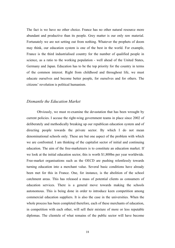The fact is we have no other choice. France has no other natural resource more abundant and productive than its people. Grey matter is our only raw material. Fortunately we are not setting out from nothing. Whatever the prophets of doom may think, our education system is one of the best in the world. For example, France is the third industrialised country for the number of qualified people in science, as a ratio to the working population - well ahead of the United States, Germany and Japan. Education has to be the top priority for the country in terms of the common interest. Right from childhood and throughout life, we must educate ourselves and become better people, for ourselves and for others. The citizens' revolution is political humanism.

#### *Dismantle the Education Market*

Obviously, we must re-examine the devastation that has been wrought by current policies. I accuse the right-wing government teams in place since 2002 of deliberately and methodically breaking up our republican education system and of directing people towards the private sector. By which I do not mean denominational schools only. These are but one aspect of the problem with which we are confronted. I am thinking of the capitalist sector of initial and continuing education. The aim of the free-marketeers is to constitute an education market. If we look at the initial education sector, this is worth \$1,800bn per year worldwide. Free-market organisations such as the OECD are pushing relentlessly towards turning education into a merchant value. Several basic conditions have already been met for this in France. One, for instance, is the abolition of the school catchment areas. This has released a mass of potential clients as consumers of education services. There is a general move towards making the schools autonomous. This is being done in order to introduce keen competition among commercial education suppliers. It is also the case in the universities. When the whole process has been completed therefore, each of these merchants of education, in competition with each other, will sell their mixture of more or less reputable diplomas. The clientele of what remains of the public sector will have become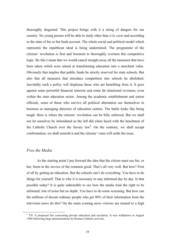thoroughly disgusted. This project brings with it a string of dangers for our country. No young person will be able to study other than *à la carte* and according to the state of his or her bank account. The whole social and political model which represents the republican ideal is being undermined. The programme of the citizens' revolution is first and foremost to thoroughly overturn this competitive logic. By this I mean that we would cancel straight away all the measures that have been taken which were aimed at transforming education into a merchant value. Obviously that implies that public funds be strictly reserved for state schools. But also that all measures that introduce competition into schools be abolished. Inevitably such a policy will displease those who are benefiting from it. It goes against some powerful financial interests and some fat situational revenues, even within the state education sector. Among the academic establishment and senior officials, some of those who survive all political alternation see themselves in business as managing directors of education centres. The battle looks like being tough. Here is where the citizens' revolution can be fully enforced. But we shall not let ourselves be intimidated as the left did when faced with the henchmen of the Catholic Church over the Savary law<sup>9</sup>. On the contrary, we shall accept confrontation, we shall nourish it and the citizens' votes will settle the issue.

#### *Free the Media*

As the starting point I put forward the idea that the citizen must use his, or her, brain in the service of the common good. That's all very well. But how? First of all by getting an education. But the schools can't do everything. You have to do things for yourself. That is why it is necessary to stay informed day by day. Is that possible today? It is quite unbearable to see how the media treat the right to be informed: lots of noise but no depth. You have to do some screening. But how can the millions of decent ordinary people who get 90% of their information from the television news do this? On the main evening news viewers are treated to a high

<sup>&</sup>lt;sup>9</sup> TN: A proposed law concerning private education and secularity. It was withdrawn in August 1984 following large demonstrations by Roman Catholic activists.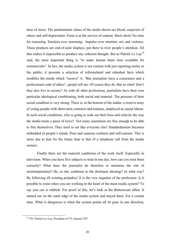dose of stress. The predominant values of the media shown are blood, suspicion of others and self-deprecation. Form is at the service of content. Short shots! No time for reasoning. Emotion over reasoning. Impulse over emotion: sex and violence. These products are end-of-aisle displays, put there to rivet people's attention. All that makes it impossible to produce any coherent thought. But as Patrick Le  $\text{Lav}^{10}$ said, the most important thing is "to make human brain time available for commercials". In fact, the media system is not content with just reporting reality to the public; it presents a selection of reformulated and rehashed facts which modifies the minds which "receive" it. "But journalists have a conscience and a professional code of ethics", people tell me. Of course they do. But so what! Don't they also live in society? As with all other professions, journalists have their own particular ideological conditioning, both social and material. The pressure of their social condition is very strong. There is, at the bottom of the ladder, a reserve army of young people with short-term contracts and trainees, employed as casual labour. In such social conditions, who is going to seek out their boss and criticise the way the media treats a piece of news? Not many journalists are free enough to be able to free themselves. They need to eat like everyone else! Standardisation becomes embedded in people's minds. Pens and cameras conform and self-censure. This is more due to fear for the future than to that of a telephone call from the media owners.

Finally there are the material conditions of the work itself. Especially in television. When you have five subjects to treat in one day, how can you treat them correctly? What does the journalist do therefore to minimise the risk of misinterpretation? He, or she, conforms to the dominant ideology! In what way? By following all existing prejudice! It is the very negation of the profession. Is it possible to resist when you are working in the heart of the main media system? To say you can is rubbish. For proof of this, let's look at the Bettencourt affair. It started out on the outer edge of the media system and stayed there. For a certain time. What is dangerous is when the system points all its guns in one direction,

<sup>&</sup>lt;sup>10</sup> TN: Patrick Le Lay, President of TV channel TF1.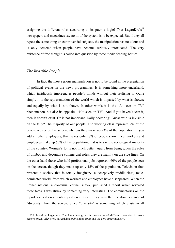assigning the different roles according to its puerile logic! That Lagardère's<sup>11</sup> newspapers and magazines say no ill of the system is to be expected. But if they all repeat the same thing on controversial subjects, the manipulation has no odour and is only detected when people have become seriously intoxicated. The very existence of free thought is called into question by these media feeding-bottles.

#### *The Invisible People*

In fact, the most serious manipulation is not to be found in the presentation of political events in the news programmes. It is something more underhand, which insidiously impregnates people's minds without their realising it. Quite simply it is the representation of the world which is imparted by what is shown; and equally by what is not shown. In other words it is the "As seen on TV" phenomenon, but also its opposite: "Not seen on TV". And if you haven't seen it, then it doesn't exist. Or is not important. Daily doctoring! Guess who is invisible on the telly? The majority of our people. The working class represent 2% of the people we see on the screen, whereas they make up 23% of the population. If you add all other employees, that makes only 18% of people shown. Yet workers and employees make up 53% of the population, that is to say the sociological majority of the country. Women's lot is not much better. Apart from being given the roles of bimbos and decorative commercial roles, they are mainly on the side-lines. On the other hand those who hold professional jobs represent 60% of the people seen on the screen, though they make up only 15% of the population. Television thus presents a society that is totally imaginary: a deceptively middle-class, maledominated world, from which workers and employees have disappeared. When the French national audio-visual council (CSA) published a report which revealed these facts, I was struck by something very interesting. The commentaries on the report focused on an entirely different aspect: they regretted the disappearance of "diversity" from the screen. Since "diversity" is something which exists in all

<sup>&</sup>lt;sup>11</sup> TN: Jean-Luc Lagardère. The Lagardère group is present in 40 different countries in many sectors: press, television, advertising, publishing, sport and the aero-space industry.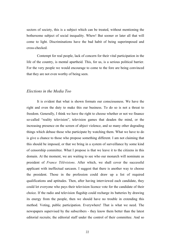sectors of society, this is a subject which can be treated, without mentioning the bothersome subject of social inequality. Whew! But sooner or later all that will come to light. Discriminations have the bad habit of being superimposed and cross-checked.

Contempt for real people, lack of concern for their vital participation in the life of the country, is mental apartheid. This, for us, is a serious political barrier. For the very people we would encourage to come to the fore are being convinced that they are not even worthy of being seen.

#### *Elections in the Media Too*

It is evident that what is shown formats our consciousness. We have the right and even the duty to make this our business. To do so is not a threat to freedom. Generally, I think we have the right to choose whether or not we finance so-called "reality television", television games that deaden the mind, or the increasing presence on the screen of abject violence, and so many other degrading things which debase those who participate by watching them. What we have to do is give a chance to those who propose something different. I am not claiming that this should be imposed, or that we bring in a system of surveillance by some kind of censorship committee. What I propose is that we leave it to the citizens in this domain. At the moment, we are waiting to see who our monarch will nominate as president of *France Télévisions*. After which, we shall cover the successful applicant with ineffectual sarcasm. I suggest that there is another way to choose the president. Those in the profession could draw up a list of required qualifications and aptitudes. Then, after having interviewed each candidate, they could let everyone who pays their television licence vote for the candidate of their choice. If the radio and television flagship could recharge its batteries by drawing its energy from the people, then we should have no trouble in extending this method. Voting, public participation. Everywhere! That is what we need. The newspapers supervised by the subscribers - they know them better than the latest editorial recruits; the editorial staff under the control of their committee. And so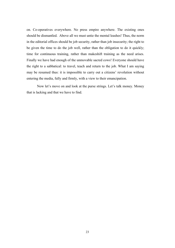on. Co-operatives everywhere. No press empire anywhere. The existing ones should be dismantled. Above all we must untie the mental leashes! Thus, the norm in the editorial offices should be job security, rather than job insecurity; the right to be given the time to do the job well, rather than the obligation to do it quickly; time for continuous training, rather than makeshift training as the need arises. Finally we have had enough of the unmovable sacred cows! Everyone should have the right to a sabbatical: to travel, teach and return to the job. What I am saying may be resumed thus: it is impossible to carry out a citizens' revolution without entering the media, fully and firmly, with a view to their emancipation.

Now let's move on and look at the purse strings. Let's talk money. Money that is lacking and that we have to find.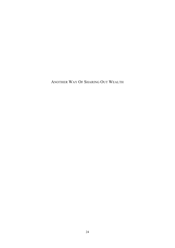ANOTHER WAY OF SHARING OUT WEALTH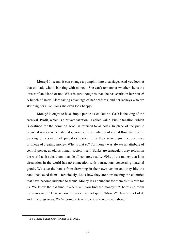Money! It seems it can change a pumpkin into a carriage. And yet, look at that old lady who is bursting with money<sup>1</sup>. She can't remember whether she is the owner of an island or not. What is sure though is that she has sharks in her house! A bunch of smart Alecs taking advantage of her deafness, and her lackeys who are skinning her alive. Does she even look happy?

Money! It ought to be a simple public asset. But no. Cash is the king of the carnival. Profit, which is a private taxation, is called value. Public taxation, which is destined for the common good, is referred to as costs. In place of the public financial service which should guarantee the circulation of a vital flow there is the buzzing of a swarm of predatory banks. It is they who enjoy the exclusive privilege of creating money. Why is that so? For money was always an attribute of central power, as old as human society itself. Banks are tentacular; they refashion the world as it suits them, outside all concrete reality. 90% of the money that is in circulation in the world has no connection with transactions concerning material goods. We save the banks from drowning in their own venom and they bite the hand that saved them – ferociously. Look how they are now treating the countries that have become indebted to them! Money is as abundant for them as it is rare for us. We know the old tune: "Where will you find the money?" "There's no room for manoeuvre." Here is how to break this bad spell: "Money? There's a lot of it, and it belongs to us. We're going to take it back, and we're not afraid!"

<sup>&</sup>lt;sup>1</sup> TN: Liliane Bettencourt. Owner of L'Oréal.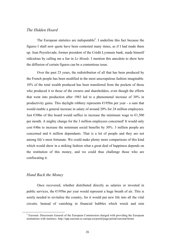#### *The Hidden Hoard*

The European statistics are indisputable<sup>2</sup>. I underline this fact because the figures I shall now quote have been contested many times, as if I had made them up. Jean Peyrelevade, former president of the Crédit Lyonnais bank, made himself ridiculous by calling me a liar in *Le Monde*. I mention this anecdote to show how the diffusion of certain figures can be a contentious issue.

Over the past 25 years, the redistribution of all that has been produced by the French people has been modified in the most unscrupulous fashion imaginable. 10% of the total wealth produced has been transferred from the pockets of those who produced it to those of the owners and shareholders, even though the efforts that went into production after 1983 led to a phenomenal increase of 30% in productivity gains. This daylight robbery represents €195bn per year - a sum that would enable a general increase in salary of around 20% for 24 million employees. Just  $\epsilon$ 30bn of this hoard would suffice to increase the minimum wage to  $\epsilon$ 1,500 per month. A mighty change for the 3 million employees concerned! It would only cost  $\epsilon$ 4bn to increase the minimum social benefits by 30%. 3 million people are concerned and 6 million dependants. That is a lot of people and they are not among life's most fortunate. We could make plenty more comparisons of this kind which would show in a striking fashion what a great deal of happiness depends on the restitution of this money, and we could thus challenge those who are confiscating it.

#### *Hand Back the Money*

Once recovered, whether distributed directly as salaries or invested in public services, the  $E195$ bn per year would represent a huge breath of air. This is sorely needed to revitalise the country, for it would put new life into all the vital circuits. Instead of vanishing in financial bubbles which wreck and ruin

<sup>&</sup>lt;sup>2</sup> Eurostat: Directorate General of the European Commission charged with providing the European institutions with statistics. http://epp.eurostat.ec.europa.eu/portal/page/portal/eurostat/home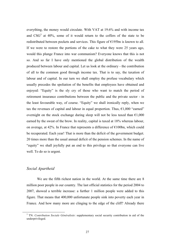everything, the money would circulate. With VAT at 19.6% and with income tax and  $CSG<sup>3</sup>$  at 40%, some of it would return to the coffers of the state to be redistributed between pockets and services. This figure of  $E195$ bn is known to all. If we were to restore the portions of the cake to what they were 25 years ago, would this plunge France into war communism? Everyone knows that this is not so. And so far I have only mentioned the global distribution of the wealth produced between labour and capital. Let us look at the ordinary - the contribution of all to the common good through income tax. That is to say, the taxation of labour and of capital. In our turn we shall employ the profuse vocabulary which usually precedes the spoliation of the benefits that employees have obtained and enjoyed: "Equity" is the sly cry of those who want to match the period of retirement insurance contributions between the public and the private sector - in the least favourable way, of course. "Equity" we shall ironically reply, when we tax the revenues of capital and labour in equal proportion. Thus,  $\epsilon$ 1,000 "earned" overnight on the stock exchange during sleep will not be less taxed than  $\epsilon 1,000$ earned by the sweat of the brow. In reality, capital is taxed at 18% whereas labour, on average, at 42%. In France that represents a difference of  $E100$ bn, which could be recuperated. Each year! That is more than the deficit of the government budget. 20 times more than the usual annual deficit of the pension schemes. In the name of "equity" we shall joyfully put an end to this privilege so that everyone can live well. To do so is urgent.

#### *Social Apartheid*

We are the fifth richest nation in the world. At the same time there are 8 million poor people in our country. The last official statistics for the period 2004 to 2007, showed a terrible increase: a further 1 million people were added to this figure. That means that 400,000 unfortunate people sink into poverty each year in France. And how many more are clinging to the edge of the cliff? Already there

 <sup>3</sup> TN: *Contribution Sociale Généralisée*: supplementary social security contribution in aid of the underprivileged.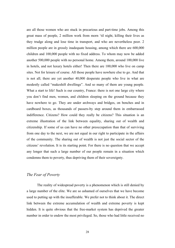are all those women who are stuck in precarious and part-time jobs. Among this great mass of people, 2 million work from morn 'til night, killing their lives as they trudge along and lose time in transport, and who are nevertheless poor. 2 million people are in grossly inadequate housing, among which there are 600,000 children and 100,000 people with no fixed address. To whom may now be added another 500,000 people with no personal home. Among them, around 100,000 live in hotels, and not luxury hotels either! Then there are 100,000 who live on camp sites. Not for leisure of course. All those people have nowhere else to go. And that is not all; there are yet another 40,000 desperate people who live in what are modestly called "makeshift dwellings". And so many of them are young people. What a start to life! Such is our country, France: there is not one large city where you don't find men, women, and children sleeping on the ground because they have nowhere to go. They are under archways and bridges, on benches and in cardboard boxes, as thousands of passers-by step around them in embarrassed indifference. Citizens? How could they really be citizens? This situation is an extreme illustration of the link between equality, sharing out of wealth and citizenship. If some of us can have no other preoccupation than that of surviving from one day to the next, we are not equal in our right to participate in the affairs of the community. The sharing out of wealth is not just the social sector of the citizens' revolution. It is its starting point. For there is no question that we accept any longer that such a large number of our people remain in a situation which condemns them to poverty, thus depriving them of their sovereignty.

#### *The Fear of Poverty*

The reality of widespread poverty is a phenomenon which is still denied by a large number of the elite. We are so ashamed of ourselves that we have become used to putting up with the insufferable. We prefer not to think about it. The direct link between the extreme accumulation of wealth and extreme poverty is kept hidden. It is quite obvious that the free-market system has deprived the greater number in order to endow the most privileged. So, those who had little received no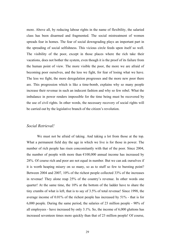more. Above all, by reducing labour rights in the name of flexibility, the salaried class has been disarmed and fragmented. The social mistreatment of women spreads fear in homes. The fear of social downgrading plays an important part in the spreading of social selfishness. This vicious circle feeds upon itself so well. The visibility of the poor, except in those places where the rich take their vacations, does not bother the system, even though it is the proof of its failure from the human point of view. The more visible the poor, the more we are afraid of becoming poor ourselves, and the less we fight, for fear of losing what we have. The less we fight, the more deregulation progresses and the more new poor there are. This progression which is like a time-bomb, explains why so many people increase their revenue in such an indecent fashion and why so few rebel. What the imbalance in power renders impossible for the time being must be recovered by the use of civil rights. In other words, the necessary recovery of social rights will be carried out by the legislative branch of the citizen's revolution.

#### *Social Retrieval!*

We must not be afraid of taking. And taking a lot from those at the top. What a permanent field day the age in which we live is for those in power. The number of rich people has risen concomitantly with that of the poor. Since 2004, the number of people with more than  $\epsilon$ 100,000 annual income has increased by 28%. Of course rich and poor are not equal in number. But we can ask ourselves if it is worth heaping misery on so many, so as to stuff so few to bursting point? Between 2004 and 2007, 10% of the richest people collected 33% of the increases in revenue! They alone reap 25% of the country's revenue. In other words one quarter! At the same time, the 10% at the bottom of the ladder have to share the tiny crumbs of what is left, that is to say of 3.5% of total revenue! Since 1998, the average income of 0.01% of the richest people has increased by 51% - that is for 6,000 people. During the same period, the salaries of 23 million people - 90% of all employees - have increased by only 3.1%. So, the income of 6,000 gluttons has increased seventeen times more quickly than that of 23 million people! Of course,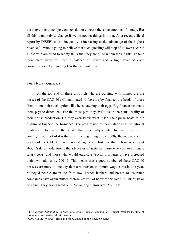the above-mentioned percentages do not concern the same amounts of money. But all this is unlikely to change if we do not set things in order. As a recent official report by  $INSEE<sup>4</sup>$  states "inequality is increasing to the advantage of the highest revenues"! Who is going to believe that such guzzling will stop of its own accord? Those who are filled to satiety think that they are quite within their rights. To take their plate away we need a balance of power and a high level of civic consciousness. And nothing less than a revolution.

#### *The Money Guzzlers*

At the top end of these ultra-rich who are bursting with money are the bosses of the CAC  $40^5$ . Contaminated to the core by finance, the heads of these firms sit on their stock options like hens hatching their eggs. Big finance has made them psycho-dependent. For the most part they live outside the actual reality of their firms' production. Do they even know what it is? Their pulse beats to the rhythm of financial performance. The progression of their salaries has no rational relationship to that of the wealth that is actually created by their firm in the country. The proof of it is that since the beginning of the 2000s, the incomes of the bosses of the CAC 40 has increased eight-fold. Just like that! Those who spout about "salary moderation", the advocates of austerity, those who vow to eliminate salary costs, and those who would eradicate "social privileges", have increased their own salaries by 700 %! This means that a good number of these CAC 40 bosses earn more in one day than a worker on minimum wage earns in one year. Moneyed people are in the front row. French bankers and bosses of insurance companies have again stuffed themselves full of bonuses this year (2010), crisis or no crisis. They have shared out  $\epsilon$ 2bn among themselves. 2 billion!

<sup>&</sup>lt;sup>4</sup> TN : *Institut National de la Statistique et des Etudes Economiques:* French national institute of economical and statistical information.

 $\frac{1}{2}$  CAC 40: the 40 largest firms in France quoted on the stock exchange.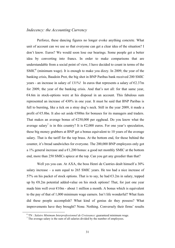# *Indecency: the Accounting Currency*

Perforce, these dancing figures no longer evoke anything concrete. What unit of account can we use so that everyone can get a clear idea of the situation? I don't know. Euros? We would soon lose our bearings. Some people get a better idea by converting into francs. In order to make comparisons that are understandable from a social point of view, I have decided to count in terms of the  $SMIC<sup>6</sup>$  (minimum wage). It is enough to make you dizzy. In 2009, the year of the banking crisis, Baudoin Prot, the big shot in BNP Paribas bank received 200 SMIC years - an increase in salary of 131%! In euros that represents a salary of  $\epsilon$ 2.37m for 2009, the year of the banking crisis. And that's not all: for that same year,  $€4.6m$  in stock-options were at his disposal in an account. This fabulous sum represented an increase of 430% in one year. It must be said that BNP Paribas is full to bursting, like a tick on a stray dog's neck. Still in the year 2009, it made a profit of €5.8bn. It also set aside €500m for bonuses for its managers and traders. That makes an average bonus of  $\epsilon$ 250,000 per egghead. Do you know what the average salary<sup>7</sup> is in this country? It is  $\epsilon$ 2,000 euros. For one year's speculation, these big money grabbers at BNP get a bonus equivalent to 10 years of the average salary. That is the tariff for the top brass. At the bottom end, for those behind the counter, it's bread sandwiches for everyone. The 200,000 BNP employees only got a 1% general increase and a  $\epsilon$ 1,200 bonus: a good net monthly SMIC at the bottom end, more than 250 SMICs apiece at the top. Can you get any greedier than that?

Well yes you can. At AXA, the boss Henri de Castries dealt himself a 30% salary increase – a sum equal to 265 SMIC years. He too had a nice increase of 57% on his packet of stock options. That is to say, he had  $63.2m$  in salary, topped up by €8.2m potential added-value on his stock options! That, for just one year made him well over  $\epsilon$ 10m - about 1 million a month. A bonus which is equivalent to the pay of that of 1,000 minimum wage earners. Isn't life wonderful? What feats did these people accomplish? What kind of genius do they possess? What improvements have they brought? None. Nothing. Conversely their firms' results

<sup>&</sup>lt;sup>6</sup> TN : *Salaire Minimum Interprofessionnel de Croissance*: guaranteed minimum wage.  $\frac{7}{1}$  The average salary is the sum of all salaries divided by the number of employees.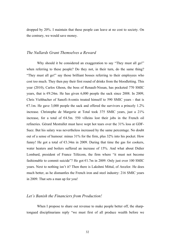dropped by 20%. I maintain that these people can leave at no cost to society. On the contrary, we would save money.

#### *The Nullards Grant Themselves a Reward*

Why should it be considered an exaggeration to say "They must all go!" when referring to these people? Do they not, in their turn, do the same thing? "They must all go!" say those brilliant bosses referring to their employees who cost too much. They then pay their first round of drinks from the bloodletting. This year (2010), Carlos Ghosn, the boss of Renault-Nissan, has pocketed 770 SMIC years, that is  $\epsilon$ 9.24m. He has given 6,000 people the sack since 2008. In 2009, Chris Viehbacher of Sanofi-Aventis treated himself to 590 SMIC years - that is  $\epsilon$ 7.1m. He gave 3,000 people the sack and offered the survivors a princely 1.2% increase. Christophe de Margerie at Total took 375 SMIC years, just a 21% increase, for a total of  $64.5m$ . 550 villeins lost their jobs in the French oil refineries. Gérard Mestrallet must have wept hot tears over the 31% loss at GDF-Suez. But his salary was nevertheless increased by the same percentage. No doubt out of a sense of humour: minus 31% for the firm, plus 32% into his pocket. How funny! He got a total of  $63.34m$  in 2009. During that time the gas for cookers, water heaters and boilers suffered an increase of 15%. And what about Didier Lombard, president of France Télécom, the firm where "it must not become fashionable to commit suicide"? He got  $\epsilon$ 1.7m in 2009. Only just over 100 SMIC years. Next to nothing isn't it? Then there is Lakshmi Mittal, of Arcelor. He does much better, as he dismantles the French iron and steel industry: 216 SMIC years in 2009. That sets a man up for you!

#### *Let's Banish the Financiers from Production!*

When I propose to share out revenue to make people better off, the sharptongued disciplinarians reply "we must first of all produce wealth before we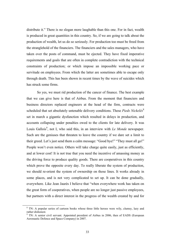distribute it." There is no slogan more laughable than this one. For in fact, wealth is produced in great quantities in this country. So, if we are going to talk about the production of wealth, let us do so seriously. For production too must be freed from the stranglehold of the financiers. The financiers and the sales managers, who have taken over the posts of command, must be ejected. They have fixed imperative requirements and goals that are often in complete contradiction with the technical constraints of production; or which impose an impossible working pace or servitude on employees. From which the latter are sometimes able to escape only through death. This has been shown in recent times by the wave of suicides which has struck some firms.

So yes, we must rid production of the cancer of finance. The best example that we can give here is that of Airbus. From the moment that financiers and business directors replaced engineers at the head of the firm, contracts were scheduled that set absolutely untenable delivery conditions. These *Pieds Nickelés*<sup>8</sup> set in march a gigantic dysfunction which resulted in delays in production, and accounts collapsing under penalties owed to the clients for late delivery. It was Louis Gallois<sup>9</sup>, not I, who said this, in an interview with *Le Monde* newspaper. Such are the geniuses that threaten to leave the country if we dare set a limit to their greed. Let's just send them a calm message: "Good bye!" "They must all go!" People won't even notice. Others will take charge quite easily, just as efficiently, and at lower cost! It is not true that you need the incentive of amassing money as the driving force to produce quality goods. There are cooperatives in this country which prove the opposite every day. To really liberate the system of production, we should re-orient the system of ownership on those lines. It works already in some places, and is not very complicated to set up. It can be done gradually, everywhere. Like Jean Jaurès I believe that "when everywhere work has taken on the great form of cooperatives, when people are no longer just passive employees, but partners with a direct interest in the progress of the wealth created by and for

<sup>&</sup>lt;sup>8</sup> TN: A popular series of cartoon books whose three little heroes were wily, clumsy, lazy and rather dishonest.

 $9$  TN: A senior civil servant. Appointed president of Airbus in 2006, then of EADS (European Aeronautic Defence and Space Company) in 2007.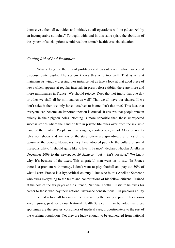themselves, then all activities and initiatives, all operations will be galvanized by an incomparable stimulus." To begin with, and in this same spirit, the abolition of the system of stock options would result in a much healthier social situation.

## *Getting Rid of Bad Examples*

What a long list there is of profiteers and parasites with whom we could dispense quite easily. The system knows this only too well. That is why it maintains its window dressing. For instance, let us take a look at that good piece of news which appears at regular intervals in press-release titbits: there are more and more millionaires in France! We should rejoice. Does that not imply that one day or other we shall all be millionaires as well? That we all have our chance. If we don't seize it then we only have ourselves to blame. Isn't that true? This idea that everyone can become an important person is crucial. It ensures that people remain quietly in their pigeon holes. Nothing is more soporific than those unexpected success stories where the hand of fate in private life takes over from the invisible hand of the market. People such as singers, sportspeople, smart Alecs of reality television shows and winners of the state lottery are spreading the fumes of the opium of the people. Nowadays they have adopted publicly the culture of social irresponsibility. "I should quite like to live in France", declared Nicolas Anelka in December 2009 to the newspaper *20 Minutes*, "but it isn't possible." We know why. It's because of the taxes. This ungrateful man went on to say, "In France there is a problem with money. I don't want to play football and pay out 50% of what I earn. France is a hypocritical country." But who is this Anelka? Someone who owes everything to the taxes and contributions of his fellow-citizens. Trained at the cost of the tax payer at the (French) National Football Institute he owes his career to those who pay their national insurance contributions. His precious ability to run behind a football has indeed been saved by the costly repair of his serious knee injuries, paid for by our National Health Service. It may be noted that these sportsmen are the greatest consumers of medical care, proportionately to the rest of the working population. Yet they are lucky enough to be exonerated from national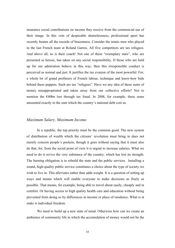insurance social contributions on income they receive from the commercial use of their image. In this vein of despicable shamelessness, professional sport has recently beaten all the records of brazenness. Consider the tennis men who played in the last French team at Roland Garros. All five competitors are tax refugees. And above all, so is their coach! Not one of these "exemplary stars", who are presented as heroes, has taken on any social responsibility. If those who are held up for our admiration behave in this way, then this irresponsible conduct is perceived as normal and just. It justifies the tax evasion of the most powerful. For, a whole lot of grand profiteers of French labour, technique and know-how hide behind these puppets. Such are tax "refugees". Have we any idea of these sums of money misappropriated and taken away from our collective efforts? Not to mention the  $E40$ bn lost through tax fraud. In 2008, for example, these sums amounted exactly to the sum which the country's national debt cost us.

#### *Maximum Salary, Maximum Income*

In a republic, the top priority must be the common good. The new system of distribution of wealth which the citizens' revolution must bring in does not merely concern people's pockets, though it goes without saying that it must also do that, for, from the social point of view it is urgent to increase salaries. What we need to do is revive the very substance of the country, which has lost its strength. The burning obligation is to rebuild the state and the public services. Installing a sound, high-quality public service constitutes a choice about the type of society we wish to live in. This alleviates rather than adds weight. It is a question of setting up ways and means which will enable everyone to make decisions as freely as possible. That means, for example, being able to travel about easily, cheaply and in comfort. Or having access to high quality health care and education without being prevented from doing so by differences in income or place of residence. What is at stake is individual freedom.

We need to build up a new state of mind. Otherwise how can we create an ambience of community life in which the accumulation of money would not be the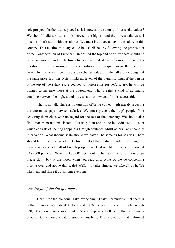sole prospect for the future, placed as it is now at the summit of our social values? We should build a virtuous link between the highest and the lowest salaries and incomes. Let's start with the salaries. We must introduce a maximum salary in this country. This maximum salary could be established by following the proposition of the Confederation of European Unions. At the top end of a firm there should be no salary more than twenty times higher than that at the bottom end. It is not a question of egalitarianism, nor of standardisation. I am quite aware that there are tasks which have a different use and exchange value, and that all are not bought at the same price. But this system links all levels of the pyramid. Thus, if the person at the top of the salary scale decides to increase his (or her), salary, he will be obliged to increase those at the bottom end. That creates a kind of automatic coupling between the highest and lowest salaries - when a firm is successful.

That is not all. There is no question of being content with merely reducing the enormous gaps between salaries. We must prevent the 'top' people from cosseting themselves with no regard for the rest of the company. We should also fix a maximum national income. Let us put an end to the individualistic illusion which consists of seeking happiness through opulence whilst others live unhappily in privation. What income scale should we have? The same as for salaries. There should be no income over twenty times that of the median standard of living, the income under which half of French people live. That would put the ceiling around  $\epsilon$ 350,000 per year. Which is  $\epsilon$ 30,000 per month! That is still a lot of money. So please don't bay at the moon when you read this. What do we do concerning income over and above this scale? Well, it's quite simple, we take all of it. We take it all and share it out among everyone.

# *Our Night of the 4th of August*

I can hear the clamour. Take everything? That's horrendous! Yet there is nothing unreasonable about it. Taxing at 100% the part of income which exceeds  $\epsilon$ 30,000 a month concerns around 0.05% of taxpayers. In the end, that is not many people. But it would create a good atmosphere. The fascination that unlimited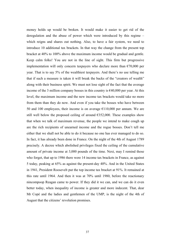money holds up would be broken. It would make it easier to get rid of the deregulation and the abuse of power which were introduced by this regime – which reigns and shares out nothing. Also, to have a fair system, we need to introduce 10 additional tax brackets. In that way the change from the present top bracket at 40% to 100% above the maximum income would be gradual and gentle. Keep calm folks! You are not in the line of sight. This firm but progressive implementation will only concern taxpayers who declare more than  $\epsilon$ 70,000 per year. That is to say 5% of the wealthiest taxpayers. And there's no use telling me that if such a measure is taken it will break the backs of the "creators of wealth" along with their business spirit. We must not lose sight of the fact that the average income of the 3 million company bosses in this country is  $\epsilon$ 40,000 per year. At this level, the maximum income and the new income tax brackets would take no more from them than they do now. And even if you take the bosses who have between 50 and 100 employees, their income is on average  $\epsilon$ 110,000 per annum. We are still well below the proposed ceiling of around  $E$ 352,000. These examples show that when we talk of maximum revenue, the people we intend to make cough up are the rich recipients of unearned income and the rogue bosses. Don't tell me either that we shall not be able to do it because no one has ever managed to do so. In fact, it has already been done in France. On the night of the 4th of August 1789 precisely. A decree which abolished privileges fixed the ceiling of the cumulative amount of private income at 3,000 pounds of the time. Next, may I remind those who forget, that up to 1986 there were 14 income tax brackets in France, as against 5 today, peaking at 65% as against the present-day 40%. And in the United States in 1941, President Roosevelt put the top income tax bracket at 91%. It remained at this rate until 1964. And then it was at 70% until 1980, before the reactionary nincompoop Reagan came to power. If they did it we can, and we can do it even better today, when inequality of income is greater and more indecent. That, dear Mr Copé and the ladies and gentlemen of the UMP, is the night of the 4th of August that the citizens' revolution promises.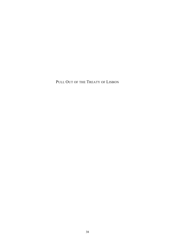PULL OUT OF THE TREATY OF LISBON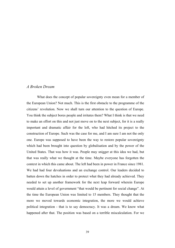# *A Broken Dream*

What does the concept of popular sovereignty even mean for a member of the European Union? Not much. This is the first obstacle to the programme of the citizens' revolution. Now we shall turn our attention to the question of Europe. You think the subject bores people and irritates them? What I think is that we need to make an effort on this and not just move on to the next subject, for it is a really important and dramatic affair for the left, who had hitched its project to the construction of Europe. Such was the case for me, and I am sure I am not the only one. Europe was supposed to have been the way to restore popular sovereignty which had been brought into question by globalisation and by the power of the United States. That was how it was. People may snigger at this idea we had, but that was really what we thought at the time. Maybe everyone has forgotten the context in which this came about. The left had been in power in France since 1981. We had had four devaluations and an exchange control. Our leaders decided to batten down the hatches in order to protect what they had already achieved. They needed to set up another framework for the next leap forward wherein Europe would attain a level of government "that would be pertinent for social change". At the time the European Union was limited to 15 members. They thought that the more we moved towards economic integration, the more we would achieve political integration - that is to say democracy. It was a dream. We know what happened after that. The position was based on a terrible miscalculation. For we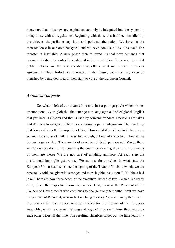know now that in its new age, capitalism can only be integrated into the system by doing away with all regulations. Beginning with those that had been installed by the citizens via parliamentary laws and political alternation. We have let the monster loose in our own backyard, and we have done so all by ourselves! The monster is insatiable. A new phase then followed. Capital now demands that norms forbidding its control be enshrined in the constitution. Some want to forbid public deficits via the said constitution; others want us to have European agreements which forbid tax increases. In the future, countries may even be punished by being deprived of their right to vote at the European Council.

# *A Globish Gargoyle*

So, what is left of our dream? It is now just a poor gargoyle which drones on monotonously in globish - that strange non-language: a kind of global English that you hear in airports and that is used by souvenir vendors. Decisions are taken that do harm to everyone. There is a growing popular antagonism. The one thing that is now clear is that Europe is not clear. How could it be otherwise? There were six members to start with. It was like a club, a kind of collective. Now it has become a galley ship. There are 27 of us on board. Well, perhaps not. Maybe there are 28 - unless it's 30. Not counting the countries awaiting their turn. How many of them are there? We are not sure of anything anymore. At each step the institutional imbroglio gets worse. We can see for ourselves in what state the European Union has been since the signing of the Treaty of Lisbon, which, we are repeatedly told, has given it "stronger and more legible institutions". It's like a bad joke! There are now three heads of the executive instead of two - which is already a lot, given the respective harm they wreak. First, there is the President of the Council of Governments who continues to change every 6 months. Next we have the permanent President, who in fact is changed every 2 years. Finally there is the President of the Commission who is installed for the lifetime of the European Assembly, which is 6 years. "Strong and legible" they say! Those three tread on each other's toes all the time. The resulting shambles wipes out the little legibility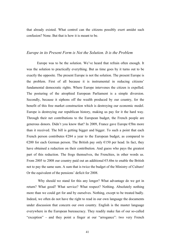that already existed. What control can the citizens possibly exert amidst such confusion? None. But that is how it is meant to be.

#### *Europe in its Present Form is Not the Solution. It is the Problem*

Europe was to be the solution. We've heard that refrain often enough. It was the solution to practically everything. But as time goes by it turns out to be exactly the opposite. The present Europe is not the solution. The present Europe is the problem. First of all because it is instrumental in reducing citizens' fundamental democratic rights. Where Europe intervenes the citizen is expelled. The posturing of the atrophied European Parliament is a simple diversion. Secondly, because it siphons off the wealth produced by our country, for the benefit of this free market construction which is destroying our economic model. Europe is destroying our republican history, making us pay for it the hard way. Through their net contributions to the European budget, the French people are generous donors. Didn't you know that? In 2009, France gave Europe €5bn more than it received. The bill is getting bigger and bigger. To such a point that each French person contributes  $E284$  a year to the European budget, as compared to €200 for each German person. The British pay only  $€150$  per head. In fact, they have obtained a reduction on their contribution. And guess who pays the greatest part of this reduction. The frogs themselves, the Frenchies, in other words us. From 2005 to 2008 our country paid out an additional  $65.6$ bn to enable the British not to pay the same sum. A sum that is twice the budget of the Ministry of Culture! Or the equivalent of the pensions' deficit for 2008.

Why should we stand for this any longer? What advantage do we get in return? What good? What service? What respect? Nothing. Absolutely nothing more than we could get for and by ourselves. Nothing, except to be treated badly. Indeed, we often do not have the right to read in our own language the documents under discussion that concern our own country. English is the master language everywhere in the European bureaucracy. They readily make fun of our so-called "exception" - and they point a finger at our "arrogance": two very French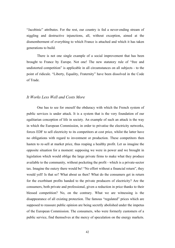"Jacobinic" attributes. For the rest, our country is fed a never-ending stream of niggling and destructive injunctions, all, without exception, aimed at the dismemberment of everything to which France is attached and which it has taken generations to build.

There is not one single example of a social improvement that has been brought to France by Europe. Not one! The new statutory rule of "free and undistorted competition" is applicable in all circumstances on all subjects - to the point of ridicule. "Liberty, Equality, Fraternity" have been dissolved in the Code of Trade.

#### *It Works Less Well and Costs More*

One has to see for oneself the obduracy with which the French system of public services is under attack. It is a system that is the very foundation of our egalitarian conception of life in society. An example of such an attack is the way in which the European Commission, in order to privatise the electricity networks, forces EDF to sell electricity to its competitors at cost price, whilst the latter have no obligations with regard to investment or production. These competitors then hasten to re-sell at market price, thus reaping a healthy profit. Let us imagine the opposite situation for a moment: supposing we were in power and we brought in legislation which would oblige the large private firms to make what they produce available to the community, without pocketing the profit - which is a private-sector tax. Imagine the outcry there would be! "No effort without a financial return", they would yell! Is that so? What about us then? What do the consumers get in return for the exorbitant profits handed to the private producers of electricity? Are the consumers, both private and professional, given a reduction in price thanks to their blessed competition? No, on the contrary. What we are witnessing is the disappearance of all existing protection. The famous "regulated" prices which are supposed to reassure public opinion are being secretly abolished under the impetus of the European Commission. The consumers, who were formerly customers of a public service, find themselves at the mercy of speculation on the energy markets.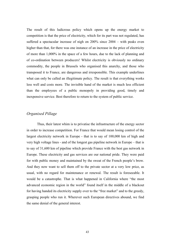The result of this ludicrous policy which opens up the energy market to competition is that the price of electricity, which for its part was not regulated, has suffered a spectacular increase of nigh on 200% since 2004 – with peaks even higher than that, for there was one instance of an increase in the price of electricity of more than 1,000% in the space of a few hours, due to the lack of planning and of co-ordination between producers! Whilst electricity is obviously no ordinary commodity, the people in Brussels who organised this anarchy, and those who transposed it to France, are dangerous and irresponsible. This example underlines what can only be called an illegitimate policy. The result is that everything works less well and costs more. The invisible hand of the market is much less efficient than the employees of a public monopoly in providing good, timely and inexpensive service. Best therefore to return to the system of public service.

## *Organised Pillage*

Thus, their latest whim is to privatise the infrastructure of the energy sector in order to increase competition. For France that would mean losing control of the largest electricity network in Europe - that is to say of 100,000 km of high and very high voltage lines - and of the longest gas pipeline network in Europe – that is to say of 31,600 km of pipeline which provide France with the best gas network in Europe. These electricity and gas services are our national pride. They were paid for with public money and maintained by the sweat of the French people's brow. And they now want to sell them off to the private sector at a very low price, as usual, with no regard for maintenance or renewal. The result is foreseeable. It would be a catastrophe. That is what happened in California where "the most advanced economic region in the world" found itself in the middle of a blackout for having handed its electricity supply over to the "free market" and to the greedy, grasping people who run it. Wherever such European directives abound, we find the same denial of the general interest.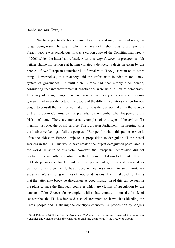## *Authoritarian Europe*

We have practically become used to all this and might well end up by no longer being wary. The way in which the Treaty of  $Lisbon<sup>1</sup>$  was forced upon the French people was scandalous. It was a carbon copy of the Constitutional Treaty of 2005 which the latter had refused. After this *coup de force* its protagonists felt neither shame nor remorse at having violated a democratic decision taken by the peoples of two European countries via a formal vote. They just went on to other things. Nevertheless, this treachery laid the unfortunate foundation for a new system of governance. Up until then, Europe had been simply a-democratic, considering that intergovernmental negotiations were held in lieu of democracy. This way of doing things then gave way to an openly anti-democratic *modus operandi*: whatever the vote of the people of the different countries - when Europe deigns to consult them - is of no matter, for it is the decision taken in the secrecy of the European Commission that prevails. Just remember what happened to the Irish "no" vote. There are numerous examples of this type of behaviour. To mention just one: the postal service. The European Parliament - in keeping with the instinctive feelings of all the peoples of Europe, for whom this public service is often the oldest in Europe - rejected a proposition to deregulate all the postal services in the EU. This would have created the largest deregulated postal area in the world. In spite of this vote, however, the European Commission did not hesitate in persistently presenting exactly the same text down to the last full stop, until its persistence finally paid off: the parliament gave in and reversed its decision. Since then the EU has slipped without resistance into an authoritarian sequence. We are living in times of imposed decisions. The initial condition being that the latter may brook no discussion. A good illustration of this can be seen in the plans to save the European countries which are victims of speculation by the bankers. Take Greece for example: whilst that country is on the brink of catastrophe, the EU has imposed a shock treatment on it which is bleeding the Greek people and is stifling the country's economy. A proposition by Angela

 <sup>1</sup> On 4 February 2008 the French *Assemblée Nationale* and the Senate convened in congress at Versailles and voted to revise the constitution enabling them to ratify the Treaty of Lisbon.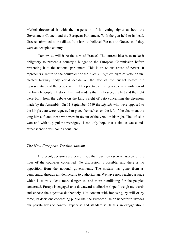Merkel threatened it with the suspension of its voting rights at both the Government Council and the European Parliament. With the gun held to its head, Greece submitted to the diktat. It is hard to believe! We talk to Greece as if they were an occupied country.

Tomorrow, will it be the turn of France? The current idea is to make it obligatory to present a country's budget to the European Commission before presenting it to the national parliament. This is an odious abuse of power. It represents a return to the equivalent of the *Ancien Régime*'s right of veto: an unelected faraway body could decide on the fate of the budget before the representatives of the people see it. This practice of using a veto is a violation of the French people's history. I remind readers that, in France, the left and the right were born from the debate on the king's right of veto concerning the decisions made by the Assembly. On 11 September 1789 the *députés* who were opposed to the king's veto were requested to place themselves on the left of the chairman, the king himself, and those who were in favour of the veto, on his right. The left side won and with it popular sovereignty. I can only hope that a similar cause-andeffect scenario will come about here.

#### *The New European Totalitarianism*

At present, decisions are being made that touch on essential aspects of the lives of the countries concerned. No discussion is possible, and there is no opposition from the national governments. The system has gone from ademocratic, through antidemocratic to authoritarian. We have now reached a stage which is more violent, more dangerous, and more humiliating for the peoples concerned. Europe is engaged on a downward totalitarian slope. I weigh my words and choose the adjective deliberately. Not content with imposing, by will or by force, its decisions concerning public life, the European Union henceforth invades our private lives to control, supervise and standardise. Is this an exaggeration?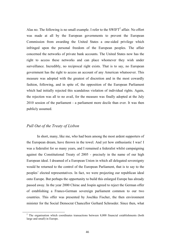Alas no. The following is no small example. I refer to the  $SWIFT<sup>2</sup>$  affair. No effort was made at all by the European governments to prevent the European Commission from awarding the United States a one-sided privilege which infringed upon the personal freedom of the European peoples. The affair concerned the networks of private bank accounts. The United States now has the right to access these networks and can place whomever they wish under surveillance. Incredibly, no reciprocal right exists. That is to say, no European government has the right to access an account of any American whatsoever. This measure was adopted with the greatest of discretion and in the most cowardly fashion, following, and in spite of, the opposition of the European Parliament which had initially rejected this scandalous violation of individual rights. Again, the rejection was all to no avail, for the measure was finally adopted at the July 2010 session of the parliament - a parliament more docile than ever. It was then publicly assumed.

# *Pull Out of the Treaty of Lisbon*

In short, many, like me, who had been among the most ardent supporters of the European dream, have thrown in the towel. And yet how enthusiastic I was! I was a federalist for so many years, and I remained a federalist whilst campaigning against the Constitutional Treaty of 2005 - precisely in the name of our high European ideal. I dreamed of a European Union in which all delegated sovereignty would be returned to the control of the European Parliament, that is to say to the peoples' elected representatives. In fact, we were projecting our republican ideal onto Europe. But perhaps the opportunity to build this enlarged Europe has already passed away. In the year 2000 Chirac and Jospin agreed to reject the German offer of establishing a Franco-German sovereign parliament common to our two countries. This offer was presented by Joschka Fischer, the then environment minister for the Social Democrat Chancellor Gerhard Schroeder. Since then, what

 $2\degree$  The organisation which coordinates transactions between 8,000 financial establishments (both large and small) in Europe.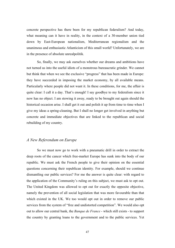concrete perspective has there been for my republican federalism? And today, what meaning can it have in reality, in the context of a 30-member union tied down by East-European nationalism, Mediterranean regionalism and the unanimous and enthusiastic Atlanticism of this small world? Unfortunately, we are in the presence of absolute unrealpolitik.

So, finally, we may ask ourselves whether our dreams and ambitions have not turned us into the useful idiots of a monstrous bureaucratic grinder. We cannot but think that when we see the exclusive "progress" that has been made in Europe: they have succeeded in imposing the market economy, by all available means. Particularly where people did not want it. In these conditions, for me, the affair is quite clear: I call it a day. That's enough! I say goodbye to my federalism since it now has no object. I am stowing it away, ready to be brought out again should the historical occasion arise. I shall get it out and polish it up from time to time when I give my ideas a spring-cleaning. But I shall no longer get involved in anything but concrete and immediate objectives that are linked to the republican and social rebuilding of my country.

## *A New Referendum on Europe*

So we must now go to work with a pneumatic drill in order to extract the deep roots of the cancer which free-market Europe has sunk into the body of our republic. We must ask the French people to give their opinion on the essential questions concerning their republican identity. For example, should we continue dismantling our public services? For me the answer is quite clear: with regard to the application of the Community's ruling on this subject, we must ask to opt out. The United Kingdom was allowed to opt out for exactly the opposite objective, namely the prevention of all social legislation that was more favourable than that which existed in the UK. We too would opt out in order to remove our public services from the system of "free and undistorted competition". We would also opt out to allow our central bank, the *Banque de France* - which still exists - to support the country by granting loans to the government and to the public services. Yet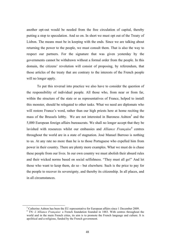another opt-out would be needed from the free circulation of capital, thereby putting a stop to speculation. And so on. In short we must opt out of the Treaty of Lisbon. The means must be in keeping with the ends. Since we are talking about returning the power to the people, we must consult them. That is also the way to respect our partners. For the signature that was given yesterday by the governments cannot be withdrawn without a formal order from the people. In this domain, the citizens' revolution will consist of proposing, by referendum, that those articles of the treaty that are contrary to the interests of the French people will no longer apply.

To put this reversal into practice we also have to consider the question of the responsibility of individual people. All those who, from near or from far, within the structure of the state or as representatives of France, helped to install this monster, should be relegated to other tasks. What we need are diplomats who will restore France's word, rather than our high priests here at home reciting the mass of the Brussels lobby. We are not interested in Baroness Ashton<sup>3</sup> and the 5,000 European foreign affairs bureaucrats. We shall no longer accept that they be lavished with resources whilst our embassies and *Alliance Française*<sup>4</sup> centres throughout the world are in a state of stagnation. José Manuel Barroso is nothing to us. At any rate no more than he is to those Portuguese who expelled him from power in their country. There are plenty more examples. What we must do is chase these people from our lives. In our own country we must abolish their absurd rules and their wicked norms based on social selfishness. "They must all go!" And let those who want to keep them, do so - but elsewhere. Such is the price to pay for the people to recover its sovereignty, and thereby its citizenship. In all places, and in all circumstances.

<sup>&</sup>lt;sup>3</sup> Catherine Ashton has been the EU representative for European affairs since 1 December 2009. <sup>4</sup> TN: *L'Alliance Française*: a French foundation founded in 1883. With centres throughout the world and in the main French cities, its aim is to promote the French language and culture. It is apolitical and a-religious, funded by the French government.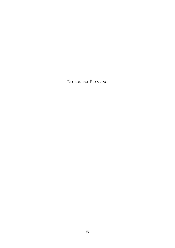ECOLOGICAL PLANNING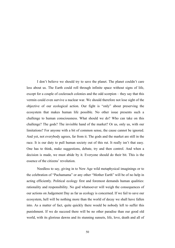I don't believe we should try to save the planet. The planet couldn't care less about us. The Earth could roll through infinite space without signs of life, except for a couple of cockroach colonies and the odd scorpion – they say that this vermin could even survive a nuclear war. We should therefore not lose sight of the objective of our ecological action. Our fight is "only" about preserving the ecosystem that makes human life possible. No other issue presents such a challenge to human consciousness. What should we do? Who can take on this challenge? The gods? The invisible hand of the market? Or us, only us, with our limitations? For anyone with a bit of common sense, the cause cannot be ignored. And yet, not everybody agrees, far from it. The gods and the market are still in the race. It is our duty to pull human society out of this rut. It really isn't that easy. One has to think, make suggestions, debate, try and then control. And when a decision is made, we must abide by it. Everyone should do their bit. This is the essence of the citizens' revolution.

Needless to say, giving in to New Age wild metaphysical imaginings or to the celebration of "Pachamama" or any other "Mother Earth" will be of no help in acting efficiently. Political ecology first and foremost demands human qualities: rationality and responsibility. No god whatsoever will weigh the consequences of our actions on Judgement Day as far as ecology is concerned. If we fail to save our ecosystem, hell will be nothing more than the world of decay we shall have fallen into. As a matter of fact, quite quickly there would be nobody left to suffer this punishment. If we do succeed there will be no other paradise than our good old world, with its glorious dawns and its stunning sunsets, life, love, death and all of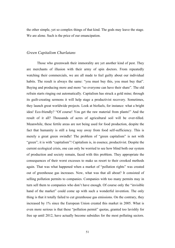the other simple, yet so complex things of that kind. The gods may leave the stage. We are alone. Such is the price of our emancipation.

#### *Green Capitalism Charlatans*

Those who greenwash their immorality are yet another kind of pest. They are merchants of illusion with their army of spin doctors. From repeatedly watching their commercials, we are all made to feel guilty about our individual habits. The result is always the same: "you must buy this, you must buy that". Buying and producing more and more "so everyone can have their share". The old refrain starts ringing out automatically. Capitalism has struck a gold mine; through its guilt-creating sermons it will help stage a productivist recovery. Sometimes, they launch great worldwide projects. Look at biofuels, for instance: what a bright idea! Eco-friendly? "Of course! You get the raw material from plants!" And the result of it all? Thousands of acres of agricultural soil will be over-tilled. Meanwhile, these fertile areas are not being used for food production, despite the fact that humanity is still a long way away from food self-sufficiency. This is merely a great green swindle! The problem of "green capitalism" is not with "green"; it is with "capitalism"! Capitalism is, in essence, productivist. Despite the current ecological crisis, one can only be worried to see how blind both our system of production and society remain, faced with this problem. They appropriate the consequences of their worst excesses to make us resort to their crooked methods again. That was what happened when a market of "pollution rights" was created out of greenhouse gas increases. Now, what was that all about? It consisted of selling pollution permits to companies. Companies with too many permits may in turn sell them to companies who don't have enough. Of course only the "invisible hand of the market" could come up with such a wonderful invention. The only thing is that it totally failed to cut greenhouse gas emissions. On the contrary, they increased by 1% since the European Union created this market in 2005. What is even more serious is that these "pollution permit" quotas, granted too lavishly for free up until 2012, have actually become subsidies for the most polluting sectors.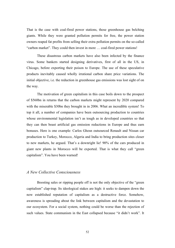That is the case with coal-fired power stations, those greenhouse gas belching giants. While they were granted pollution permits for free, the power station owners reaped fat profits from selling their extra pollution permits on the so-called "carbon market". They could then invest in more … coal-fired power stations!

These disastrous carbon markets have also been infected by the finance virus. Some bankers started designing derivatives, first of all in the US, in Chicago, before exporting their poison to Europe. The use of these speculative products inevitably caused wholly irrational carbon share price variations. The initial objective, i.e. the reduction in greenhouse gas emissions was lost sight of on the way.

The motivation of green capitalism in this case boils down to the prospect of \$560bn in returns that the carbon markets might represent by 2020 compared with the miserable \$30bn they brought in in 2006. What an incredible system! To top it all, a number of companies have been outsourcing production to countries whose environmental legislation isn't as tough as in developed countries so that they can then boast artificial gas emission reductions in Europe and thus earn bonuses. Here is one example: Carlos Ghosn outsourced Renault and Nissan car production to Turkey, Morocco, Algeria and India to bring production sites closer to new markets, he argued. That's a downright lie! 90% of the cars produced in giant new plants in Morocco will be exported. That is what they call "green capitalism". You have been warned!

#### *A New Collective Consciousness*

Boosting sales or ripping people off is not the only objective of the "green capitalism" clap-trap. Its ideological stakes are high: it seeks to dampen down the now established reputation of capitalism as a destructive force. Somehow, awareness is spreading about the link between capitalism and the devastation to our ecosystem. For a social system, nothing could be worse than the rejection of such values. State communism in the East collapsed because "it didn't work". It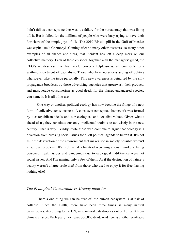didn't fail as a concept; neither was it a failure for the bureaucracy that was living off it. But it failed for the millions of people who were busy trying to have their fair share of the simple joys of life. The 2010 BP oil spill in the Gulf of Mexico was capitalism's Chernobyl. Coming after so many other disasters, so many other examples of all shapes and sizes, that incident has left a deep mark on our collective memory. Each of these episodes, together with the managers' greed, the CEO's recklessness, the first world power's helplessness, all contribute to a scathing indictment of capitalism. Those who have no understanding of politics whatsoever take the issue personally. This new awareness is being fed by the silly propaganda broadcast by those advertising agencies that greenwash their products and masquerade consumerism as good deeds for the planet, endangered species, you name it. It is all of no use.

One way or another, political ecology has now become the fringe of a new form of collective consciousness. A consistent conceptual framework was formed by our republican ideals and our ecological and socialist values. Given what's ahead of us, they constitute our only intellectual toolbox to act wisely in the new century. That is why I kindly invite those who continue to argue that ecology is a diversion from pressing social issues for a left political agenda to button it. It's not as if the destruction of the environment that makes life in society possible weren't a serious problem. It's not as if climate-driven migrations, workers being poisoned, health issues and pandemics due to ecological indifference were not social issues. And I'm naming only a few of them. As if the destruction of nature's beauty weren't a large-scale theft from those who used to enjoy it for free, having nothing else!

# *The Ecological Catastrophe is Already upon Us*

There's one thing we can be sure of: the human ecosystem is at risk of collapse. Since the 1980s, there have been three times as many natural catastrophes. According to the UN, nine natural catastrophes out of 10 result from climate change. Each year, they leave 300,000 dead. And here is another verifiable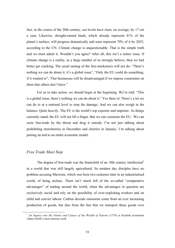fact: in the course of the 20th century, sea levels have risen, on average, by 17 cm a year. Likewise, drought-ruined lands, which already represent 41% of the planet's surface, will progress dramatically and soon represent 70% of it by 2025, according to the UN. Climate change is unquestionable. That is the simple truth and we must admit it. Wouldn't you agree? After all, this isn't a minor issue. If climate change is a reality, as a large number of us strongly believe, then we had better get cracking. The usual ranting of the free-marketeers will not do: "There's nothing we can do about it; it's a global issue", "Only the EU could do something, if it wanted to", "Our businesses will be disadvantaged if we impose constraints on them that others don't have."

For us to take action, we should begin at the beginning. We're told: "This is a global issue; there's nothing we can do about it." Yes there is! There's a lot we can do to at a national level to stop the damage. And we can also weigh in the balance. Quite heavily. The EU is the world's top exporter and importer. As things currently stand, the EU will not lift a finger. But we can constrain the EU. We can seize free-trade by the throat and drag it outside. I'm not just talking about prohibiting strawberries in December and cherries in January. I'm talking about putting an end to an entire economic model.

# *Free Trade Must Stop*

The dogma of free-trade was the brainchild of an 18th century intellectual<sup>1</sup> in a world that was still largely agricultural. Its modern day disciples have no problem accusing Marxism, which was born two centuries later in an industrialised world, of being archaic. There isn't much left of the so-called "comparative advantages" of trading around the world, when the advantages in question are exclusively social and rely on the possibility of over-exploiting workers and on child and convict labour. Carbon dioxide emissions come from an ever increasing production of goods, but also from the fact that we transport these goods over

<sup>&</sup>lt;sup>1</sup> *An Inquiry into the Nature and Causes of the Wealth of Nations* (1776) is Scottish economist Adam Smith's most famous work.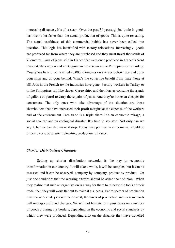increasing distances. It's all a scam. Over the past 30 years, global trade in goods has risen a lot faster than the actual production of goods. This is quite revealing. The actual usefulness of this commercial bubble has never been called into question. This logic has intensified with factory relocations. Increasingly, goods are produced far from where they are purchased and they must travel thousands of kilometres. Pairs of jeans sold in France that were once produced in France's Nord Pas-de-Calais region and in Belgium are now sewn in the Philippines or in Turkey. Your jeans have thus travelled 40,000 kilometres on average before they end up in your shop and on your behind. What's the collective benefit from that? None at all! Jobs in the French textile industries have gone. Factory workers in Turkey or in the Philippines toil like slaves. Cargo ships and then lorries consume thousands of gallons of petrol to carry those pairs of jeans. And they're not even cheaper for consumers. The only ones who take advantage of the situation are those shareholders that have increased their profit margins at the expense of the workers and of the environment. Free trade is a triple sham: it's an economic mirage, a social scourge and an ecological disaster. It's time to say stop! Not only can we say it, but we can also make it stop. Today wise politics, in all domains, should be driven by one obsession: relocating production to France.

# *Shorter Distribution Channels*

Setting up shorter distribution networks is the key to economic transformation in our country. It will take a while, it will be complex, but it can be assessed and it can be observed, company by company, product by product. On just one condition: that the working citizens should be asked their opinion. When they realise that such an organisation is a way for them to relocate the tools of their trade, then they will work flat out to make it a success. Entire sectors of production must be relocated: jobs will be created, the kinds of production and their methods will undergo profound changes. We will not hesitate to impose taxes on a number of goods crossing our borders, depending on the economic and social standards by which they were produced. Depending also on the distance they have travelled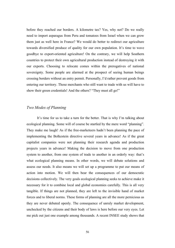before they reached our borders. A kilometre tax? Yes, why not? Do we really need to import asparagus from Peru and tomatoes from Israel when we can grow them just as well here in France? We would do better to redirect our agriculture towards diversified produce of quality for our own population. It's time to wave goodbye to export-oriented agriculture! On the contrary, we will help Southern countries to protect their own agricultural production instead of destroying it with our exports. Choosing to relocate comes within the prerogatives of national sovereignty. Some people are alarmed at the prospect of seeing human beings crossing borders without an entry permit. Personally, I'd rather prevent goods from entering our territory. Those merchants who still want to trade with us will have to show their green credentials! And the others? "They must all go!"

## *Two Modes of Planning*

It's time for us to take a turn for the better. That is why I'm talking about ecological planning. Some will of course be startled by the mere word "planning". They make me laugh! As if the free-marketeers hadn't been planning the pace of implementing the Bolkestein directive several years in advance! As if the great capitalist companies were not planning their research agenda and production projects years in advance! Making the decision to move from one production system to another, from one system of trade to another in an orderly way: that's what ecological planning means. In other words, we will debate solutions and assess our needs. It also means we will set up a programme to put our means of action into motion. We will then bear the consequences of our democratic decisions collectively. The very goals ecological planning seeks to achieve make it necessary for it to combine local and global economies carefully. This is all very tangible. If things are not planned, they are left to the invisible hand of market forces and to liberal norms. These forms of planning are all the more pernicious as they are never debated openly. The consequence of unruly market development, unchecked by the citizens and their body of laws is here before our very eyes. Let me pick out just one example among thousands. A recent INSEE study shows that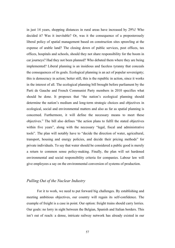in just 14 years, shopping distances in rural areas have increased by 29%! Who decided it? Was it inevitable? Or, was it the consequence of a preposterously liberal policy of spatial management based on construction sites sprawling at the expense of arable land? The closing down of public services, post offices, tax offices, hospitals and schools, should they not share responsibility for the boom in car journeys? Had they not been planned? Who debated them where they are being implemented? Liberal planning is an insidious and faceless tyranny that conceals the consequences of its goals. Ecological planning is an act of popular sovereignty; this is democracy in action; better still, this is the republic in action, since it works in the interest of all. The ecological planning bill brought before parliament by the Parti de Gauche and French Communist Party members in 2010 specifies what should be done. It proposes that "the nation's ecological planning should determine the nation's medium and long-term strategic choices and objectives in ecological, social and environmental matters and also as far as spatial planning is concerned. Furthermore, it will define the necessary means to meet these objectives." The bill also defines "the action plans to fulfil the stated objectives within five years", along with the necessary "legal, fiscal and administrative tools". The plan will notably have to "decide the direction of water, agricultural, transport, housing and energy policies, and decide their pricing methods" for private individuals. To say that water should be considered a public good is merely a return to common sense policy-making. Finally, the plan will set hardened environmental and social responsibility criteria for companies. Labour law will give employees a say on the environmental conversion of systems of production.

## *Pulling Out of the Nuclear Industry*

For it to work, we need to put forward big challenges. By establishing and meeting ambitious objectives, our country will regain its self-confidence. The example of freight is a case in point. Our option: freight trains should carry lorries. Our goals: no lorry in sight between the Belgian, Spanish and Italian borders. This isn't out of reach: a dense, intricate railway network has already existed in our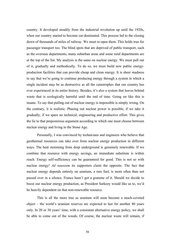country. It developed steadily from the industrial revolution up until the 1920s, when our country started to become car-dominated. This process led to the closing down of thousands of miles of railway. We must re-open them. This holds true for passenger transport too. The blind spots that are deprived of public transport, such as the overseas departments, many suburban areas and some rural departments are at the top of the list. My analysis is the same on nuclear energy. We must pull out of it, gradually and methodically. To do so, we must build new public energyproduction facilities that can provide cheap and clean energy. It is sheer madness to say that we're going to continue producing energy through a system in which a single incident may be as destructive as all the catastrophes that our country has ever experienced in its entire history. Besides, it's also a system that leaves behind waste that is ecologically harmful until the end of time. Going on like this is insane. To say that pulling out of nuclear energy is impossible is simply wrong. On the contrary, it is realistic. Phasing out nuclear power is possible, if we take it gradually, if we spare no technical, engineering and productive effort. This gives the lie to that preposterous argument according to which one must choose between nuclear energy and living in the Stone Age.

Personally, I was convinced by technicians and engineers who believe that geothermal resources can take over from nuclear energy production in different ways. The heat stemming from deep underground is genuinely renewable. If we combine that resource with energy savings, an immediate substitute is within reach. Energy self-sufficiency can be guaranteed for good. This is not so with nuclear energy! *Ad nauseam* its supporters claim the opposite. The fact that nuclear energy depends entirely on uranium, a rare fuel, is more often than not passed over in a silence. France hasn't got a gramme of it. Should we decide to boost our nuclear energy production, as President Sarkozy would like us to, we'd be heavily dependent on that non-renewable resource.

This is all the more true as uranium will soon become a much-coveted object – the world's uranium reserves are expected to last for another 80 years only. In 20 or 30 years' time, with a consistent alternative energy policy, we shall be able to come out of the woods. Of course, the nuclear waste will remain, if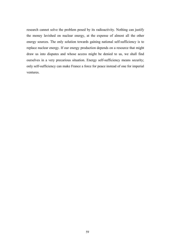research cannot solve the problem posed by its radioactivity. Nothing can justify the money lavished on nuclear energy, at the expense of almost all the other energy sources. The only solution towards gaining national self-sufficiency is to replace nuclear energy. If our energy production depends on a resource that might draw us into disputes and whose access might be denied to us, we shall find ourselves in a very precarious situation. Energy self-sufficiency means security; only self-sufficiency can make France a force for peace instead of one for imperial ventures.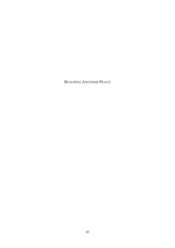# BUILDING ANOTHER PEACE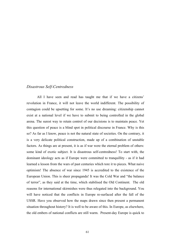#### *Disastrous Self-Centredness*

All I have seen and read has taught me that if we have a citizens' revolution in France, it will not leave the world indifferent. The possibility of contagion could be upsetting for some. It's no use dreaming: citizenship cannot exist at a national level if we have to submit to being controlled in the global arena. The surest way to retain control of our decisions is to maintain peace. Yet this question of peace is a blind spot in political discourse in France. Why is this so? As far as I know, peace is not the natural state of societies. On the contrary, it is a very delicate political construction, made up of a combination of unstable factors. As things are at present, it is as if war were the eternal problem of others: some kind of exotic subject. It is disastrous self-centredness! To start with, the dominant ideology acts as if Europe were committed to tranquillity - as if it had learned a lesson from the wars of past centuries which tore it to pieces. What naive optimism! The absence of war since 1945 is accredited to the existence of the European Union. This is sheer propaganda! It was the Cold War and "the balance of terror", as they said at the time, which stabilised the Old Continent. The old reasons for international skirmishes were thus relegated into the background. You will have noticed that the conflicts in Europe re-surfaced after the fall of the USSR. Have you observed how the maps drawn since then present a permanent situation throughout history? It is well to be aware of this. In Europe, as elsewhere, the old embers of national conflicts are still warm. Present-day Europe is quick to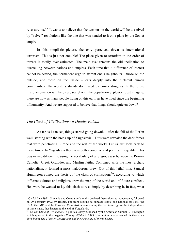re-assure itself. It wants to believe that the tensions in the world will be dissolved by "velvet" revolutions like the one that was handed to it on a plate by the Soviet empire.

In this simplistic picture, the only perceived threat is international terrorism. This is just not credible! The place given to terrorism in the order of threats is totally over-estimated. The main risk remains the old inclination to quarrelling between nations and empires. Each time that a difference of interest cannot be settled, the permanent urge to affront one's neighbours – those on the outside, and those on the inside – eats deeply into the different human communities. The world is already dominated by power struggles. In the future this phenomenon will be on a parallel with the population explosion. Just imagine: there are now as many people living on this earth as have lived since the beginning of humanity. And we are supposed to believe that things should quieten down?

## *The Clash of Civilisations: a Deadly Poison*

As far as I can see, things started going downhill after the fall of the Berlin wall, starting with the break-up of Yugoslavia<sup>1</sup>. Thus were revealed the dark forces that were penetrating Europe and the rest of the world. Let us just look back to those times. In Yugoslavia there was both economic and political inequality. This was named differently, using the vocabulary of a religious war between the Roman Catholic, Greek Orthodox and Muslim faiths. Combined with the most archaic nationalism, it formed a most malodorous brew. Out of this lethal mix, Samuel Huntington coined the thesis of "the clash of civilisations<sup>2</sup>", according to which different cultures and religions draw the map of the world and of future conflicts. He swore he wanted to lay this clash to rest simply by describing it. In fact, what

 $1$  On 25 June 1991, Slovenia and Croatia unilaterally declared themselves as independent, followed on 29 February 1992 by Bosnia. Far from seeking to appease ethnic and national tensions, the USA, the IMF, and the European Commission were among the first to recognise the independence of these states, thus hastening the end of Yugoslavia.

<sup>2</sup> TN: *The Clash of Civilisations*: a political essay published by the American Samuel P. Huntington which appeared in the magazine *Foreign Affairs* in 1993. Huntington later expanded his thesis in a 1996 book: *The Clash of Civilizations and the Remaking of World Order*.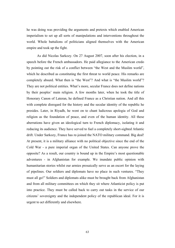he was doing was providing the arguments and pretexts which enabled American imperialism to set up all sorts of manipulations and interventions throughout the world. Whole battalions of politicians aligned themselves with the American empire and took up the fight.

As did Nicolas Sarkozy. On 27 August 2007, soon after his election, in a speech before the French ambassadors. He paid allegiance to the American credo by pointing out the risk of a conflict between "the West and the Muslim world", which he described as constituting the first threat to world peace. His remarks are completely absurd. What then is "the West"? And what is "the Muslim world"? They are not political entities. What's more, secular France does not define nations by their peoples' main religion. A few months later, when he took the title of Honorary Canon of Lateran, he defined France as a Christian nation. And all this with complete disregard for the history and the secular identity of the republic he presides. Later, in Riyadh, he went on to chant ludicrous apologia of God and religion as the foundation of peace, and even of the human identity. All these aberrations have given an ideological turn to French diplomacy, isolating it and reducing its audience. They have served to fuel a completely short-sighted Atlantic drift. Under Sarkozy, France has re-joined the NATO military command. Big deal! At present, it is a military alliance with no political objective since the end of the Cold War - a pure imperial organ of the United States. Can anyone prove the opposite? As a result, our country is bound up in the Empire's most questionable adventures - in Afghanistan for example. We inundate public opinion with humanitarian stories whilst our armies prosaically serve as an escort for the laying of pipelines. Our soldiers and diplomats have no place in such ventures. "They must all go!" Soldiers and diplomats alike must be brought back from Afghanistan and from all military committees on which they sit where Atlanticist policy is put into practice. They must be called back to carry out tasks in the service of our citizens' sovereignty and the independent policy of the republican ideal. For it is urgent to act differently and elsewhere.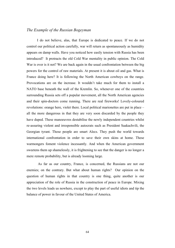## *The Example of the Russian Bogeyman*

I do not believe, alas, that Europe is dedicated to peace. If we do not control our political action carefully, war will return as spontaneously as humidity appears on damp walls. Have you noticed how easily tension with Russia has been introduced? It protracts the old Cold War mentality in public opinion. The Cold War is over is it not? We are back again in the usual confrontation between the big powers for the control of raw materials. At present it is about oil and gas. What is France doing here? It is following the North American cowboys on the range. Provocations are on the increase. It wouldn't take much for them to install a NATO base beneath the wall of the Kremlin. So, whenever one of the countries surrounding Russia sets off a popular movement, all the North American agencies and their spin-doctors come running. There are real fireworks! Lovely-coloured revolutions: orange here, violet there. Local political marionettes are put in place – all the more dangerous in that they are very soon discarded by the people they have duped. These manoeuvres destabilise the newly independent countries whilst re-assuring violent and irresponsible autocrats such as President Saakachvili, the Georgian tyrant. Those people are smart Alecs. They push the world towards international confrontation in order to save their own skins at home. These warmongers foment violence incessantly. And when the American government sweetens them up shamelessly, it is frightening to see that the danger is no longer a mere remote probability, but is already looming large.

As far as our country, France, is concerned, the Russians are not our enemies; on the contrary. But what about human rights? Our opinion on the question of human rights in that country is one thing, quite another is our appreciation of the role of Russia in the construction of peace in Europe. Mixing the two levels leads us nowhere, except to play the part of useful idiots and tip the balance of power in favour of the United States of America.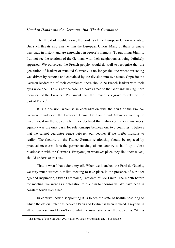# *Hand in Hand with the Germans. But Which Germans?*

The threat of trouble along the borders of the European Union is visible. But such threats also exist within the European Union. Many of them originate way back in history and are entrenched in people's memory. To put things bluntly, I do not see the relations of the Germans with their neighbours as being definitely appeased. We ourselves, the French people, would do well to recognise that the generation of leaders of reunited Germany is no longer the one whose reasoning was driven by remorse and contained by the division into two states. Opposite the German leaders rid of their complexes, there should be French leaders with their eyes wide open. This is not the case. To have agreed to the Germans' having more members of the European Parliament than the French is a grave mistake on the part of France<sup>3</sup>.

It is a decision, which is in contradiction with the spirit of the Franco-German founders of the European Union. De Gaulle and Adenauer were quite unequivocal on the subject when they declared that, whatever the circumstances, equality was the only basis for relationships between our two countries. I believe that we cannot guarantee peace between our peoples if we prefer illusions to reality. The rhetoric on the Franco-German relationship should be replaced by practical measures. It is the permanent duty of our country to build up a close relationship with the Germans. Everyone, in whatever place they find themselves, should undertake this task.

That is what I have done myself. When we launched the Parti de Gauche, we very much wanted our first meeting to take place in the presence of our alter ego and inspiration, Oskar Lafontaine, President of Die Linke. The month before the meeting, we went as a delegation to ask him to sponsor us. We have been in constant touch ever since.

In contrast, how disappointing it is to see the state of hostile posturing to which the official relations between Paris and Berlin has been reduced. I say this in all seriousness. And I don't care what the usual stance on the subject is: "All is

<sup>&</sup>lt;sup>3</sup> The Treaty of Nice (26 July 2001) gives 99 seats to Germany and 74 to France.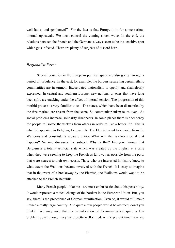well ladies and gentlemen!" For the fact is that Europe is in for some serious internal upheavals. We must control the coming shock wave. In the end, the relations between the French and the Germans always seem to be the sensitive spot which gets infected. There are plenty of subjects of discord here.

## *Regionalist Fever*

Several countries in the European political space are also going through a period of turbulence. In the east, for example, the borders separating certain ethnic communities are in turmoil. Exacerbated nationalism is openly and shamelessly expressed. In central and southern Europe, new nations, or ones that have long been split, are cracking under the effect of internal tension. The progression of this morbid process is very familiar to us. The states, which have been dismantled by the free market, are absent from the scene. So communitarianism takes over. As social problems increase, solidarity disappears. In some places there is a tendency for people to isolate themselves from others in order to live a better life. This is what is happening in Belgium, for example. The Flemish want to separate from the Walloons and constitute a separate entity. What will the Walloons do if that happens? No one discusses the subject. Why is that? Everyone knows that Belgium is a totally artificial state which was created by the English at a time when they were seeking to keep the French as far away as possible from the ports that were nearest to their own coasts. Those who are interested in history know to what extent the Walloons became involved with the French. It is easy to imagine that in the event of a breakaway by the Flemish, the Walloons would want to be attached to the French Republic.

Many French people - like me - are most enthusiastic about this possibility. It would represent a radical change of the borders in the European Union. But, you say, there is the precedence of German reunification. Even so, it would still make France a really large country. And quite a few people would be alarmed, don't you think? We may note that the reunification of Germany raised quite a few problems, even though they were pretty well stifled. At the present time there are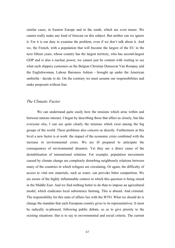similar cases, in Eastern Europe and in the south, which are even tenser. We cannot really make any kind of forecast on this subject. But neither can we ignore it. For it is our duty to examine the problem, even if we don't talk about it. And we, the French, with a population that will become the largest of the EU in the next fifteen years, whose country has the largest territory, who has second-largest GDP and is also a nuclear power, we cannot just be content with waiting to see what such slippery customers as the Belgian Christian Democrat Van Rompuy and the Englishwoman, Labour Baroness Ashton - brought up under the American umbrella - decide to do. On the contrary we must assume our responsibilities and make proposals without fear.

## *The Climatic Factor*

We can understand quite easily how the tensions which arise within and between nations interact. I began by describing those that affect us closely, but like everyone else, I can see quite clearly the tensions which exist among the big groups of the world. These problems also concern us directly. Furthermore at this level a new factor is at work: the impact of the economic crisis combined with the increase in environmental crises. We are ill prepared to anticipate the consequences of environmental disasters. Yet they are a direct cause of the destabilisation of international relations. For example, population movements caused by climate change are completely disturbing neighbourly relations between many of the countries in which refugees are circulating. Or again, the difficulty of access to vital raw materials, such as water, can provoke bitter competition. We are aware of the highly inflammable context in which this question is being raised in the Middle East. And we find nothing better to do than to impose an agricultural model, which eradicates local subsistence farming. This is absurd. And criminal. The responsibility for this state of affairs lies with the WTO. What we should do is change the mandate that each European country gives to its representatives. It must be radically re-phrased, following public debate, so as to give priority to the existing situations: that is to say to environmental and social criteria. The current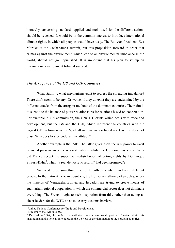hierarchy concerning standards applied and tools used for the different actions should be reversed. It would be in the common interest to introduce international climate rights, in which all peoples would have a say. The Bolivian President, Eva Morales at the Cochabamba summit, put this proposition forward in order that crimes against the environment, which lead to an environmental imbalance in the world, should not go unpunished. It is important that his plan to set up an international environment tribunal succeed.

## *The Arrogance of the G8 and G20 Countries*

What stability, what mechanisms exist to redress the spreading imbalance? There don't seem to be any. Or worse, if they do exist they are undermined by the different attacks from the arrogant methods of the dominant countries. Their aim is to substitute the balance of power relationships for relations based on cooperation. For example, a UN commission, the UNCTD<sup>4</sup> exists which deals with trade and development, but the G8 and the G20, which represent the countries with the largest GDP - from which 90% of all nations are excluded – act as if it does not exist. Why does France endorse this attitude?

Another example is the IMF. The latter gives itself the raw power to exert financial pressure over the weakest nations, whilst the US alone has a veto. Why did France accept the superficial redistribution of voting rights by Dominique Strauss-Kahn<sup>5</sup>, when "a real democratic reform" had been promised<sup>6</sup>?

We need to do something else, differently, elsewhere and with different people. In the Latin American countries, the Bolivarian alliance of peoples, under the impetus of Venezuela, Bolivia and Ecuador, are trying to create means of egalitarian regional cooperation in which the commercial sector does not dominate everything. The French ought to seek inspiration from this, rather than acting as cheer leaders for the WTO so as to destroy customs barriers.

 <sup>4</sup> United Nations Conference for Trade and Development.

<sup>5</sup> Director of the IMF in 2007.

<sup>6</sup> Decided in 2008, this reform redistributed, only a very small portion of votes within this institution and did not call into question the US veto or the domination of the northern countries.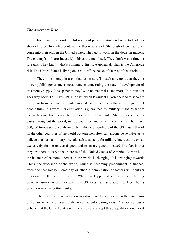### *The American Risk*

Following this constant philosophy of power relations is bound to lead to a show of force. In such a context, the theoreticians of "the clash of civilisations" come into their own in the United States. They go to work on the decision makers. The country's militaro-industriel lobbies are mobilised. They don't waste time on idle talk. They know what's coming: a first-rate upheaval. That is the American risk. The United States is living on credit, off the backs of the rest of the world.

They print money in a continuous stream. To such an extent that they no longer publish government measurements concerning the state of development of this money supply. It is "paper money" with no material counterpart. This situation goes way back. To August 1971 in fact, when President Nixon decided to separate the dollar from its equivalent value in gold. Since then the dollar is worth just what people think it is worth. Its circulation is guaranteed by military might. What are we are talking about here? The military power of the United States rests on its 735 bases throughout the world, in 130 countries, and on all 5 continents. They have 600,000 troops stationed abroad. The military expenditure of the US equals that of all the other countries of the world put together. How can anyone be so naïve as to believe that such a military arsenal, such a capacity for military intervention, exists exclusively for the universal good and to ensure general peace? The fact is that they are there to serve the interests of the United States of America. Meanwhile, the balance of economic power in the world is changing. It is swinging towards China, the workshop of the world, which is becoming predominant in finance, trade and technology. Some day or other, a combination of factors will confirm this swing of the centre of power. When that happens it will be a major turning point in human history. For when the US loses its first place, it will go sliding down towards the bottom ranks.

There will be devaluation on an astronomical scale, as big as the mountains of dollars which are issued with no equivalent clearing value. Can we seriously believe that the United States will just sit by and accept this disqualification? For it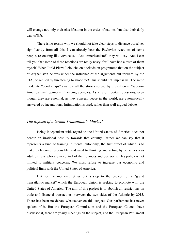will change not only their classification in the order of nations, but also their daily way of life.

There is no reason why we should not take clear steps to distance ourselves significantly from all this. I can already hear the Pavlovian reactions of some people, resonating like vuvuzelas: "Anti-Americanism!" they will say. And I can tell you that some of these reactions are really nasty, for I have had a taste of them myself. When I told Pierre Lelouche on a television programme that on the subject of Afghanistan he was under the influence of the arguments put forward by the CIA, he replied by threatening to shoot me! This should not impress us. The same moderate "good chaps" swallow all the stories spread by the different "superior Americanism" opinion-influencing agencies. As a result, certain questions, even though they are essential, as they concern peace in the world, are automatically answered by incantations. Intimidation is used, rather than well-argued debate.

# *The Refusal of a Grand Transatlantic Market!*

Being independent with regard to the United States of America does not denote an irrational hostility towards that country. Rather we can say that it represents a kind of training in mental autonomy, the first effect of which is to make us become responsible, and used to thinking and acting by ourselves - as adult citizens who are in control of their choices and decisions. This policy is not limited to military concerns. We must refuse to increase our economic and political links with the United States of America.

But for the moment, let us put a stop to the project for a "grand transatlantic market" which the European Union is seeking to promote with the United States of America. The aim of this project is to abolish all restrictions on trade and financial transactions between the two sides of the Atlantic by 2015. There has been no debate whatsoever on this subject. Our parliament has never spoken of it. But the European Commission and the European Council have discussed it, there are yearly meetings on the subject, and the European Parliament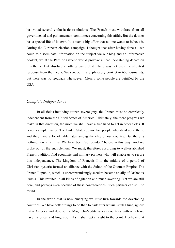has voted several enthusiastic resolutions. The French must withdraw from all governmental and parliamentary committees concerning this affair. But the dossier has a special life of its own. It is such a big affair that no one wants to believe it. During the European election campaign, I thought that after having done all we could to disseminate information on the subject via our blog and an informative booklet, we at the Parti de Gauche would provoke a headline-catching debate on this theme. But absolutely nothing came of it. There was not even the slightest response from the media. We sent out this explanatory booklet to 600 journalists, but there was no feedback whatsoever. Clearly some people are petrified by the USA.

## *Complete Independence*

In all fields involving citizen sovereignty, the French must be completely independent from the United States of America. Ultimately, the more progress we make in that direction, the more we shall have a free hand to act in other fields. It is not a simple matter. The United States do not like people who stand up to them, and they have a lot of tablemates among the elite of our country. But there is nothing new in all this. We have been "surrounded" before in this way. And we broke out of the encirclement. We must, therefore, according to well-established French tradition, find economic and military partners who will enable us to secure this independence. The kingdom of François I in the middle of a period of Christian hysteria formed an alliance with the Sultan of the Ottoman Empire. The French Republic, which is uncompromisingly secular, became an ally of Orthodox Russia. This resulted in all kinds of agitation and much swearing. Yet we are still here, and perhaps even because of these contradictions. Such partners can still be found.

In the world that is now emerging we must turn towards the developing countries. We have better things to do than to bark after Russia, snub China, ignore Latin America and despise the Maghreb–Mediterranean countries with which we have historical and linguistic links. I shall get straight to the point: I believe that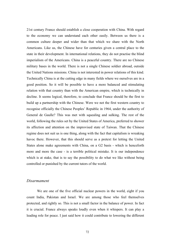21st century France should establish a close cooperation with China. With regard to the economy we can understand each other easily. Between us there is a common culture deeper and wider than that which we share with the North Americans. Like us, the Chinese have for centuries given a central place to the state in their development. In international relations, they do not practise the blind imperialism of the Americans. China is a peaceful country. There are no Chinese military bases in the world. There is not a single Chinese soldier abroad, outside the United Nations missions. China is not interested in power relations of this kind. Technically China is at the cutting edge in many fields where we ourselves are in a good position. So it will be possible to have a more balanced and stimulating relation with that country than with the American empire, which is technically in decline. It seems logical, therefore, to conclude that France should be the first to build up a partnership with the Chinese. Were we not the first western country to recognise officially the Chinese Peoples' Republic in 1964, under the authority of General de Gaulle? This was met with squealing and sulking. The rest of the world, following the rules set by the United States of America, preferred to shower its affection and attention on the improvised state of Taiwan. That the Chinese regime does not suit us is one thing, along with the fact that capitalism is wreaking havoc there. However, that this should serve as a pretext for letting the United States alone make agreements with China, on a G2 basis - which is henceforth more and more the case - is a terrible political mistake. It is our independence which is at stake, that is to say the possibility to do what we like without being controlled or punished by the current tutors of the world.

#### *Disarmament*

We are one of the five official nuclear powers in the world, eight if you count India, Pakistan and Israel. We are among those who feel themselves protected, and rightly so. This is not a small factor in the balance of power. In fact it is crucial. France always speaks loudly even when it whispers. It can play a leading role for peace. I just said how it could contribute to lowering the different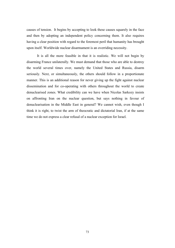causes of tension. It begins by accepting to look these causes squarely in the face and then by adopting an independent policy concerning them. It also requires having a clear position with regard to the foremost peril that humanity has brought upon itself. Worldwide nuclear disarmament is an overriding necessity.

It is all the more feasible in that it is realistic. We will not begin by disarming France unilaterally. We must demand that those who are able to destroy the world several times over, namely the United States and Russia, disarm seriously. Next, or simultaneously, the others should follow in a proportionate manner. This is an additional reason for never giving up the fight against nuclear dissemination and for co-operating with others throughout the world to create denuclearised zones. What credibility can we have when Nicolas Sarkozy insists on affronting Iran on the nuclear question, but says nothing in favour of denuclearisation in the Middle East in general? We cannot wish, even though I think it is right, to twist the arm of theocratic and dictatorial Iran, if at the same time we do not express a clear refusal of a nuclear exception for Israel.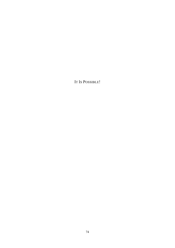IT IS POSSIBLE!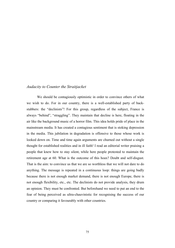### *Audacity to Counter the Straitjacket*

We should be contagiously optimistic in order to convince others of what we wish to do. For in our country, there is a well-established party of backstabbers: the "declinists"! For this group, regardless of the subject, France is always "behind", "straggling". They maintain that decline is here, floating in the air like the background music of a horror film. This idea holds pride of place in the mainstream media. It has created a contagious sentiment that is stoking depression in the media. This jubilation in degradation is offensive to those whose work is looked down on. Time and time again arguments are churned out without a single thought for established realities and in ill faith! I read an editorial writer praising a people that knew how to stay silent, while here people protested to maintain the retirement age at 60. What is the outcome of this hoax? Doubt and self-disgust. That is the aim: to convince us that we are so worthless that we will not dare to do anything. The message is repeated in a continuous loop: things are going badly because there is not enough market demand, there is not enough Europe, there is not enough flexibility, etc., etc. The declinists do not provide analysis, they drum an opinion. They must be confronted. But beforehand we need to put an end to the fear of being perceived as ultra-chauvinistic for recognising the success of our country or comparing it favourably with other countries.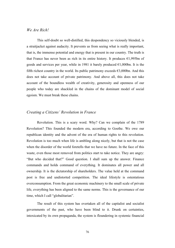### *We Are Rich!*

This self-doubt so well-distilled, this despondency so viciously blended, is a straitjacket against audacity. It prevents us from seeing what is really important, that is, the immense potential and energy that is present in our country. The truth is that France has never been as rich in its entire history. It produces  $\epsilon$ 1,995bn of goods and services per year, while in 1981 it barely produced  $\epsilon$ 1,000bn. It is the fifth richest country in the world. Its public patrimony exceeds  $\epsilon$ 3,000bn. And this does not take account of private patrimony. And above all, this does not take account of the boundless wealth of creativity, generosity and openness of our people who today are shackled in the chains of the dominant model of social egoism. We must break these chains.

## *Creating a Citizens' Revolution in France*

Revolution. This is a scary word. Why? Can we complain of the 1789 Revolution? This founded the modern era, according to Goethe. We owe our republican identity and the advent of the era of human rights to this revolution. Revolution is too much when life is ambling along nicely, but that is not the case when the disorder of the world foretells that we have no future. In the face of this waste, even those most removed from politics start to take notice. They are angry: "But who decided that?" Good question. I shall sum up the answer. Finance commands and holds command of everything. It dominates all power and all ownership. It is the dictatorship of shareholders. The value held at the command post is free and undistorted competition. The ideal lifestyle is ostentatious overconsumption. From the great economic machinery to the small scale of private life, everything has been aligned to the same norms. This is the governance of our time, which I call "globalitarian".

The result of this system has overtaken all of the capitalist and socialist governments of the past, who have been blind to it. Drunk on certainties, intoxicated by its own propaganda, the system is floundering in systemic financial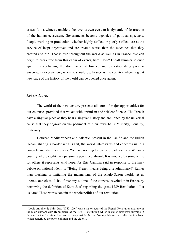crises. It is a witness, unable to believe its own eyes, to its dynamic of destruction of the human ecosystem. Governments become agencies of political spectacle. People working in production, whether highly skilled or poorly skilled, are at the service of inept objectives and are treated worse than the machines that they created and run. That is true throughout the world as well as in France. We can begin to break free from this chain of events, here. How? I shall summarise once again: by abolishing the dominance of finance and by establishing popular sovereignty everywhere, where it should be. France is the country where a great new page of the history of the world can be opened once again.

### *Let Us Dare!*

The world of the new century presents all sorts of major opportunities for our countries provided that we act with optimism and self-confidence. The French have a singular place as they bear a singular history and are united by the universal cause that they engrave on the pediment of their town halls: "Liberty, Equality, Fraternity".

Between Mediterranean and Atlantic, present in the Pacific and the Indian Ocean, sharing a border with Brazil, the world interests us and concerns us in a concrete and stimulating way. We have nothing to fear of broad horizons. We are a country whose egalitarian passion is perceived abroad. It is mocked by some while for others it represents wild hope. As Eric Cantona said in response to the hazy debate on national identity: "Being French means being a revolutionary!" Rather than blushing or imitating the mannerisms of the Anglo-Saxon world, let us liberate ourselves! I shall finish my outline of the citizens' revolution in France by borrowing the definition of Saint Just<sup>1</sup> regarding the great 1789 Revolution: "Let us dare! These words contain the whole politics of our revolution".

<sup>&</sup>lt;sup>1</sup> Louis Antoine de Saint Just (1767-1794) was a major actor of the French Revolution and one of the main authors with Robespierre of the 1793 Constitution which installed universal suffrage in France for the first time. He was also responsible for the first republican social distribution laws, which benefitted the poor, children and the elderly.